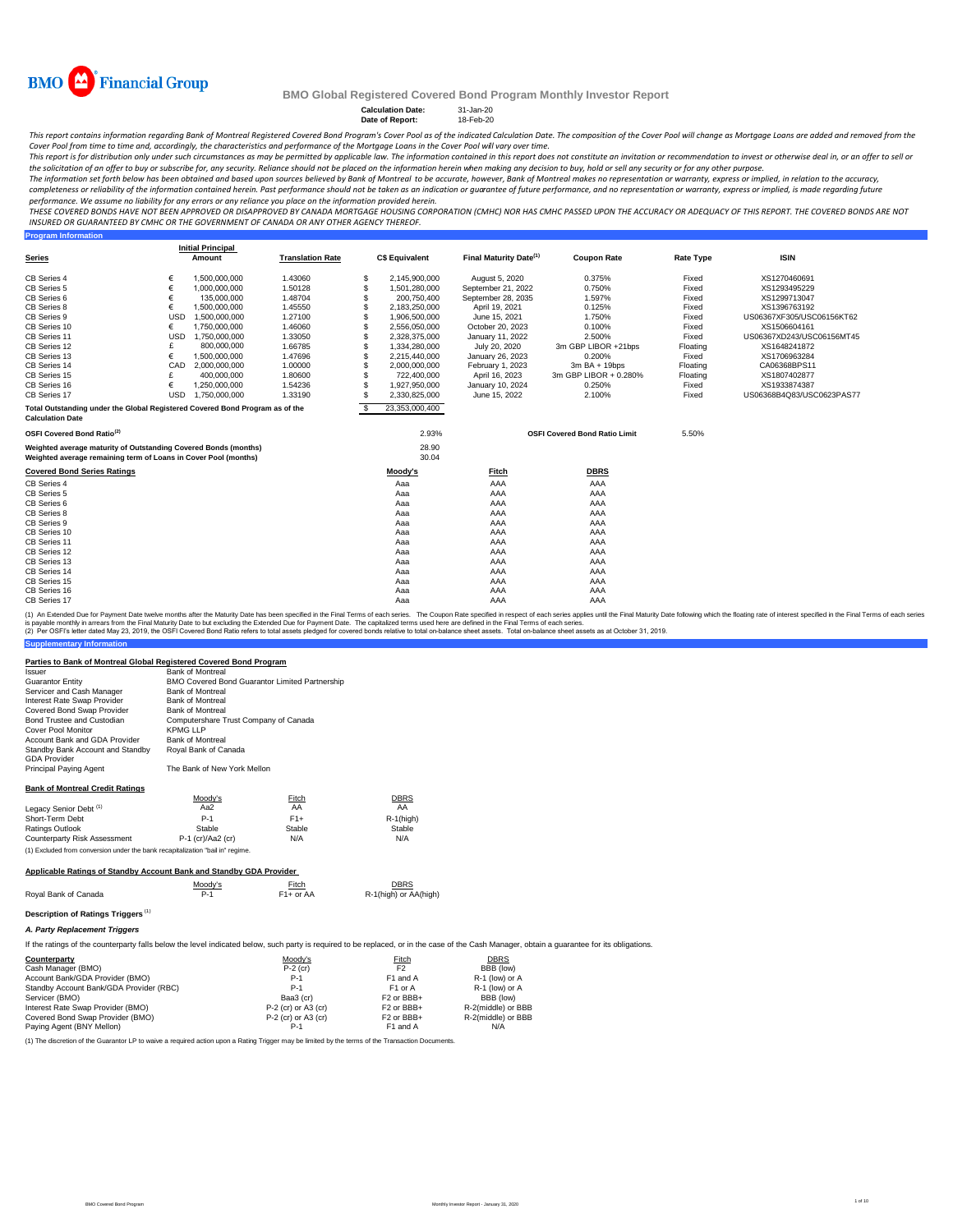

**Program Information**

#### **BMO Global Registered Covered Bond Program Monthly Investor Report**

# **Calculation Date:** 31-Jan-20 **Date of Report:** 18-Feb-20

This report contains information regarding Bank of Montreal Registered Covered Bond Program's Cover Pool as of the indicated Calculation Date. The composition of the Cover Pool will change as Mortgage Loans are added and r

Cover Pool from time to time and, accordingly, the characteristics and performance of the Mortgage Loans in the Cover Pool will vary over time.<br>This report is for distribution only under such circumstances as may be permit the solicitation of an offer to buy or subscribe for, any security. Reliance should not be placed on the information herein when *making any decision to buy, hold or sell any security or for any other purpose.* 

The information set forth below has been obtained and based upon sources believed by Bank of Montreal to be accurate, however, Bank of Montreal makes no representation or warranty, express or implied, in relation to the ac

performance. We assume no liability for any errors or any reliance you place on the information provided herein.<br>THESE COVERED BONDS HAVE NOT BEEN APPROVED OR DISAPPROVED BY CANADA MORTGAGE HOUSING CORPORATION (CMHC) NOR H *INSURED OR GUARANTEED BY CMHC OR THE GOVERNMENT OF CANADA OR ANY OTHER AGENCY THEREOF.*

|                                                                                                                                    |            | <b>Initial Principal</b> |                         |    |                       |                                    |                                      |                  |                           |
|------------------------------------------------------------------------------------------------------------------------------------|------------|--------------------------|-------------------------|----|-----------------------|------------------------------------|--------------------------------------|------------------|---------------------------|
| <b>Series</b>                                                                                                                      |            | Amount                   | <b>Translation Rate</b> |    | <b>C\$ Equivalent</b> | Final Maturity Date <sup>(1)</sup> | <b>Coupon Rate</b>                   | <b>Rate Type</b> | <b>ISIN</b>               |
| CB Series 4                                                                                                                        | €          | 1,500,000,000            | 1.43060                 | S  | 2,145,900,000         | August 5, 2020                     | 0.375%                               | Fixed            | XS1270460691              |
| CB Series 5                                                                                                                        | €          | 1.000.000.000            | 1.50128                 | S  | 1,501,280,000         | September 21, 2022                 | 0.750%                               | Fixed            | XS1293495229              |
| CB Series 6                                                                                                                        |            | 135,000,000              | 1.48704                 |    | 200.750.400           | September 28, 2035                 | 1.597%                               | Fixed            | XS1299713047              |
| CB Series 8                                                                                                                        | €          | 1.500.000.000            | 1.45550                 |    | 2,183,250,000         | April 19, 2021                     | 0.125%                               | Fixed            | XS1396763192              |
| CB Series 9                                                                                                                        | <b>USD</b> | 1,500,000,000            | 1.27100                 |    | 1,906,500,000         | June 15, 2021                      | 1.750%                               | Fixed            | US06367XF305/USC06156KT62 |
| CB Series 10                                                                                                                       | €          | 1,750,000,000            | 1.46060                 |    | 2,556,050,000         | October 20, 2023                   | 0.100%                               | Fixed            | XS1506604161              |
| CB Series 11                                                                                                                       | <b>USD</b> | 1,750,000,000            | 1.33050                 |    | 2,328,375,000         | January 11, 2022                   | 2.500%                               | Fixed            | US06367XD243/USC06156MT45 |
| CB Series 12                                                                                                                       |            | 800,000,000              | 1.66785                 |    | 1,334,280,000         | July 20, 2020                      | 3m GBP LIBOR +21bps                  | Floating         | XS1648241872              |
| CB Series 13                                                                                                                       | €          | 1,500,000,000            | 1.47696                 |    | 2,215,440,000         | January 26, 2023                   | 0.200%                               | Fixed            | XS1706963284              |
| CB Series 14                                                                                                                       | CAD        | 2.000.000.000            | 1.00000                 |    | 2,000,000,000         | February 1, 2023                   | 3m BA + 19bps                        | Floating         | CA06368BPS11              |
| CB Series 15                                                                                                                       |            | 400.000.000              | 1.80600                 | S  | 722.400.000           | April 16, 2023                     | 3m GBP LIBOR + 0.280%                | Floating         | XS1807402877              |
| CB Series 16                                                                                                                       | €          | 1,250,000,000            | 1.54236                 |    | 1,927,950,000         | January 10, 2024                   | 0.250%                               | Fixed            | XS1933874387              |
| CB Series 17                                                                                                                       | <b>USD</b> | 1,750,000,000            | 1.33190                 |    | 2,330,825,000         | June 15, 2022                      | 2.100%                               | Fixed            | US06368B4Q83/USC0623PAS77 |
| Total Outstanding under the Global Registered Covered Bond Program as of the<br><b>Calculation Date</b>                            |            |                          |                         | -S | 23,353,000,400        |                                    |                                      |                  |                           |
| OSFI Covered Bond Ratio <sup>(2)</sup>                                                                                             |            |                          |                         |    | 2.93%                 |                                    | <b>OSFI Covered Bond Ratio Limit</b> | 5.50%            |                           |
| Weighted average maturity of Outstanding Covered Bonds (months)<br>Weighted average remaining term of Loans in Cover Pool (months) |            |                          |                         |    | 28.90<br>30.04        |                                    |                                      |                  |                           |
| <b>Covered Bond Series Ratings</b>                                                                                                 |            |                          |                         |    | Moody's               | <b>Fitch</b>                       | <b>DBRS</b>                          |                  |                           |
| CB Series 4                                                                                                                        |            |                          |                         |    | Aaa                   | AAA                                | AAA                                  |                  |                           |
| CB Series 5                                                                                                                        |            |                          |                         |    | Aaa                   | AAA                                | AAA                                  |                  |                           |
| CB Series 6                                                                                                                        |            |                          |                         |    | Aaa                   | AAA                                | AAA                                  |                  |                           |
| CB Series 8                                                                                                                        |            |                          |                         |    | Aaa                   | AAA                                | AAA                                  |                  |                           |
| CB Series 9                                                                                                                        |            |                          |                         |    | Aaa                   | AAA                                | AAA                                  |                  |                           |
| CB Series 10                                                                                                                       |            |                          |                         |    | Aaa                   | AAA                                | AAA                                  |                  |                           |
| CB Series 11                                                                                                                       |            |                          |                         |    | Aaa                   | AAA                                | AAA                                  |                  |                           |
| CB Series 12                                                                                                                       |            |                          |                         |    | Aaa                   | AAA                                | AAA                                  |                  |                           |
| CB Series 13                                                                                                                       |            |                          |                         |    | Aaa                   | AAA                                | AAA                                  |                  |                           |
| CB Series 14                                                                                                                       |            |                          |                         |    | Aaa                   | AAA                                | AAA                                  |                  |                           |
| CB Series 15                                                                                                                       |            |                          |                         |    | Aaa                   | AAA                                | AAA                                  |                  |                           |
| CB Series 16                                                                                                                       |            |                          |                         |    | Aaa                   | AAA                                | AAA                                  |                  |                           |
| CB Series 17                                                                                                                       |            |                          |                         |    | Aaa                   | AAA                                | AAA                                  |                  |                           |

(1) An Extended Due for Payment Date twelve months after the Maturity Date has been specified in the Final Terms of each series. The Coupon Rate specified in the respect of each series applies until the Final Maturity Date

#### **Parties to Bank of Montreal Global Registered Covered Bond Program**

| Issuer                                                                         | <b>Bank of Montreal</b>                        |        |              |
|--------------------------------------------------------------------------------|------------------------------------------------|--------|--------------|
| Guarantor Entity                                                               | BMO Covered Bond Guarantor Limited Partnership |        |              |
| Servicer and Cash Manager                                                      | <b>Bank of Montreal</b>                        |        |              |
| Interest Rate Swap Provider                                                    | <b>Bank of Montreal</b>                        |        |              |
| Covered Bond Swap Provider                                                     | <b>Bank of Montreal</b>                        |        |              |
| Bond Trustee and Custodian                                                     | Computershare Trust Company of Canada          |        |              |
| Cover Pool Monitor                                                             | <b>KPMG LLP</b>                                |        |              |
| Account Bank and GDA Provider                                                  | <b>Bank of Montreal</b>                        |        |              |
| Standby Bank Account and Standby<br><b>GDA Provider</b>                        | Royal Bank of Canada                           |        |              |
| Principal Paying Agent                                                         | The Bank of New York Mellon                    |        |              |
| <b>Bank of Montreal Credit Ratings</b>                                         |                                                |        |              |
|                                                                                | Moody's                                        | Fitch  | <b>DBRS</b>  |
| Legacy Senior Debt <sup>(1)</sup>                                              | Aa2                                            | AA     | AA           |
| Short-Term Debt                                                                | $P-1$                                          | $F1+$  | $R-1$ (high) |
| Ratings Outlook                                                                | Stable                                         | Stable | Stable       |
| Counterparty Risk Assessment                                                   | P-1 (cr)/Aa2 (cr)                              | N/A    | N/A          |
| (1) Excluded from conversion under the bank recapitalization "bail in" regime. |                                                |        |              |
| Applicable Ratings of Standby Account Bank and Standby GDA Provider            |                                                |        |              |

| ADDIICADIE RAUNUS OF Standby ACCOUNT BANK AND Standby GDA Frovider |  |  |  |
|--------------------------------------------------------------------|--|--|--|
|                                                                    |  |  |  |
|                                                                    |  |  |  |

|                      | Moodv's | Fitch       | <b>DBRS</b>           |
|----------------------|---------|-------------|-----------------------|
| Roval Bank of Canada |         | $F1+$ or AA | R-1(high) or AA(high) |
|                      |         |             |                       |

#### **Description of Ratings Triggers** (1) *A. Party Replacement Triggers*

**Supplementary Information** 

If the ratings of the counterparty falls below the level indicated below, such party is required to be replaced, or in the case of the Cash Manager, obtain a guarantee for its obligations.

| Counterparty                                                                                      | Moody's               | Fitch                             | <b>DBRS</b>        |
|---------------------------------------------------------------------------------------------------|-----------------------|-----------------------------------|--------------------|
| Cash Manager (BMO)                                                                                | $P-2$ (cr)            | F <sub>2</sub>                    | BBB (low)          |
| Account Bank/GDA Provider (BMO)                                                                   | $P-1$                 | F1 and A                          | R-1 (low) or A     |
| Standby Account Bank/GDA Provider (RBC)                                                           | $P-1$                 | F <sub>1</sub> or A               | R-1 (low) or A     |
| Servicer (BMO)                                                                                    | Baa3 (cr)             | F <sub>2</sub> or BB <sub>+</sub> | BBB (low)          |
| Interest Rate Swap Provider (BMO)                                                                 | P-2 (cr) or A3 (cr)   | F <sub>2</sub> or BB <sub>+</sub> | R-2(middle) or BBB |
| Covered Bond Swap Provider (BMO)                                                                  | $P-2$ (cr) or A3 (cr) | F <sub>2</sub> or BBB+            | R-2(middle) or BBB |
| Paving Agent (BNY Mellon)                                                                         | P-1                   | F1 and A                          | N/A                |
| ブルアル・アール・ビー・ブルー ハール・コール ロー・・・・・ トール・エンジー・・・・ トーピー・アイ・・・・・ トール・サーク・リー・ルー エー・・・・ ブル・デー・・・・・ピー・ロー・コー |                       |                                   |                    |

(1) The discretion of the Guarantor LP to waive a required action upon a Rating Trigger may be limited by the terms of the Transaction Documents.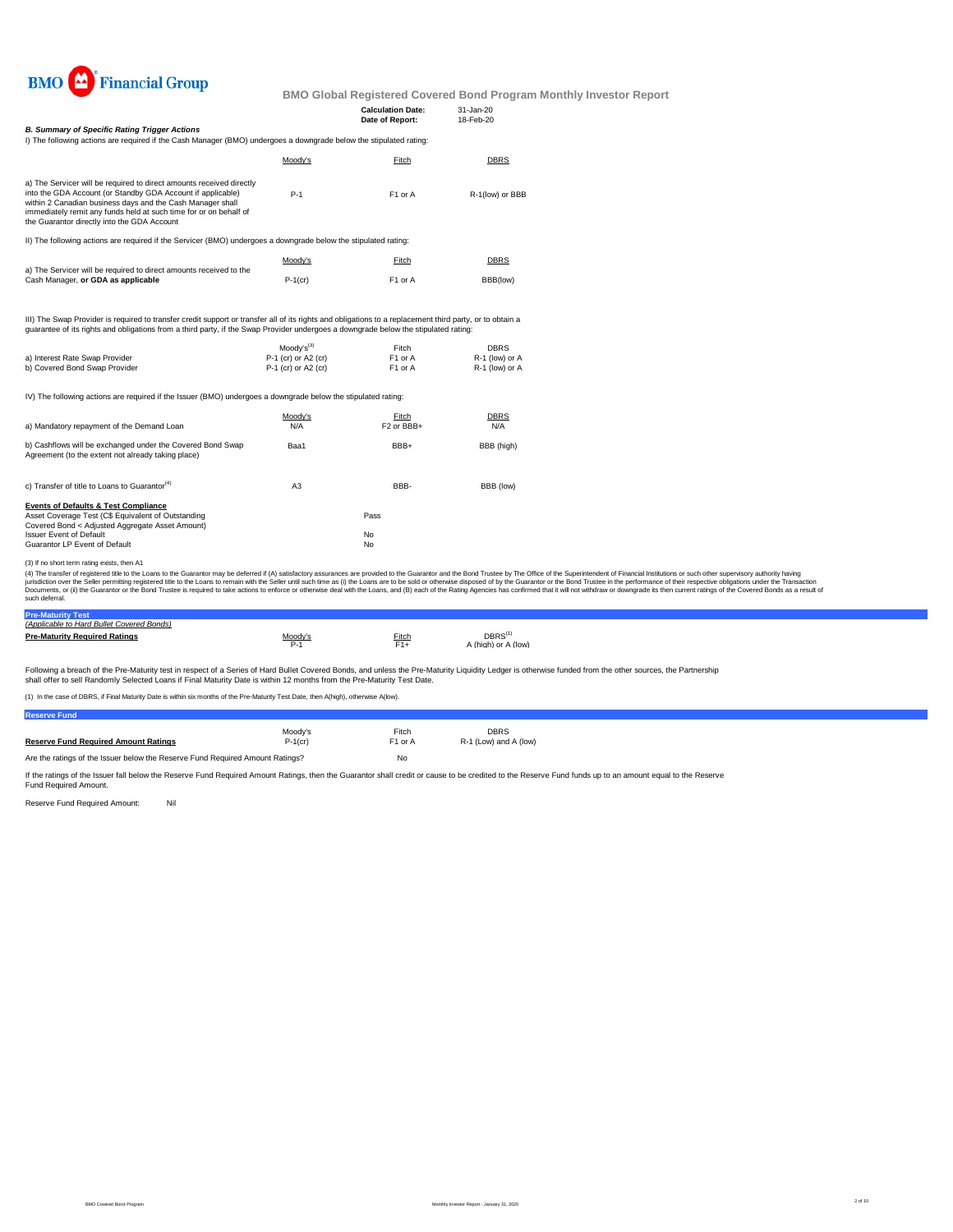

|                                                                                                                                                                                                                                                                                                                                                                                                                                                                                                                                                                                                                                                                                                                      |                                            | <b>Calculation Date:</b><br>Date of Report: | 31-Jan-20<br>18-Feb-20           |  |  |
|----------------------------------------------------------------------------------------------------------------------------------------------------------------------------------------------------------------------------------------------------------------------------------------------------------------------------------------------------------------------------------------------------------------------------------------------------------------------------------------------------------------------------------------------------------------------------------------------------------------------------------------------------------------------------------------------------------------------|--------------------------------------------|---------------------------------------------|----------------------------------|--|--|
| <b>B. Summary of Specific Rating Trigger Actions</b>                                                                                                                                                                                                                                                                                                                                                                                                                                                                                                                                                                                                                                                                 |                                            |                                             |                                  |  |  |
| I) The following actions are required if the Cash Manager (BMO) undergoes a downgrade below the stipulated rating:                                                                                                                                                                                                                                                                                                                                                                                                                                                                                                                                                                                                   |                                            |                                             |                                  |  |  |
|                                                                                                                                                                                                                                                                                                                                                                                                                                                                                                                                                                                                                                                                                                                      | Moody's                                    | Fitch                                       | <b>DBRS</b>                      |  |  |
| a) The Servicer will be required to direct amounts received directly                                                                                                                                                                                                                                                                                                                                                                                                                                                                                                                                                                                                                                                 |                                            |                                             |                                  |  |  |
| into the GDA Account (or Standby GDA Account if applicable)<br>within 2 Canadian business days and the Cash Manager shall<br>immediately remit any funds held at such time for or on behalf of<br>the Guarantor directly into the GDA Account                                                                                                                                                                                                                                                                                                                                                                                                                                                                        | $P-1$                                      | F1 or A                                     | R-1(low) or BBB                  |  |  |
| II) The following actions are required if the Servicer (BMO) undergoes a downgrade below the stipulated rating:                                                                                                                                                                                                                                                                                                                                                                                                                                                                                                                                                                                                      |                                            |                                             |                                  |  |  |
|                                                                                                                                                                                                                                                                                                                                                                                                                                                                                                                                                                                                                                                                                                                      | Moody's                                    | Fitch                                       | <b>DBRS</b>                      |  |  |
| a) The Servicer will be required to direct amounts received to the<br>Cash Manager, or GDA as applicable                                                                                                                                                                                                                                                                                                                                                                                                                                                                                                                                                                                                             | $P-1$ (cr)                                 | F <sub>1</sub> or A                         | BBB(low)                         |  |  |
| III) The Swap Provider is required to transfer credit support or transfer all of its rights and obligations to a replacement third party, or to obtain a<br>quarantee of its rights and obligations from a third party, if the Swap Provider undergoes a downgrade below the stipulated rating:                                                                                                                                                                                                                                                                                                                                                                                                                      | $Modv's^{(3)}$                             |                                             | <b>DBRS</b>                      |  |  |
| a) Interest Rate Swap Provider<br>b) Covered Bond Swap Provider                                                                                                                                                                                                                                                                                                                                                                                                                                                                                                                                                                                                                                                      | P-1 (cr) or A2 (cr)<br>P-1 (cr) or A2 (cr) | Fitch<br>F1 or A<br>F1 or A                 | R-1 (low) or A<br>R-1 (low) or A |  |  |
| IV) The following actions are required if the Issuer (BMO) undergoes a downgrade below the stipulated rating:                                                                                                                                                                                                                                                                                                                                                                                                                                                                                                                                                                                                        |                                            |                                             |                                  |  |  |
|                                                                                                                                                                                                                                                                                                                                                                                                                                                                                                                                                                                                                                                                                                                      | Moody's                                    | Fitch                                       | DBRS                             |  |  |
| a) Mandatory repayment of the Demand Loan                                                                                                                                                                                                                                                                                                                                                                                                                                                                                                                                                                                                                                                                            | N/A                                        | F <sub>2</sub> or BBB+                      | N/A                              |  |  |
| b) Cashflows will be exchanged under the Covered Bond Swap<br>Agreement (to the extent not already taking place)                                                                                                                                                                                                                                                                                                                                                                                                                                                                                                                                                                                                     | Baa1                                       | BBB+                                        | BBB (high)                       |  |  |
| c) Transfer of title to Loans to Guarantor <sup>(4)</sup>                                                                                                                                                                                                                                                                                                                                                                                                                                                                                                                                                                                                                                                            | A <sub>3</sub>                             | BBB-                                        | BBB (low)                        |  |  |
| <b>Events of Defaults &amp; Test Compliance</b>                                                                                                                                                                                                                                                                                                                                                                                                                                                                                                                                                                                                                                                                      |                                            |                                             |                                  |  |  |
| Asset Coverage Test (C\$ Equivalent of Outstanding<br>Covered Bond < Adjusted Aggregate Asset Amount)                                                                                                                                                                                                                                                                                                                                                                                                                                                                                                                                                                                                                |                                            | Pass                                        |                                  |  |  |
| <b>Issuer Event of Default</b>                                                                                                                                                                                                                                                                                                                                                                                                                                                                                                                                                                                                                                                                                       |                                            | No                                          |                                  |  |  |
| Guarantor LP Event of Default                                                                                                                                                                                                                                                                                                                                                                                                                                                                                                                                                                                                                                                                                        |                                            | No                                          |                                  |  |  |
| (3) If no short term rating exists, then A1                                                                                                                                                                                                                                                                                                                                                                                                                                                                                                                                                                                                                                                                          |                                            |                                             |                                  |  |  |
| (4) The transfer of registered title to the Loans to the Guarantor may be deferred if (A) satisfactory assurances are provided to the Guarantor and the Bond Trustee by The Office of the Superintendent of Financial Institut<br>jurisdiction over the Seller permitting registered title to the Loans to remain with the Seller until such time as (i) the Loans are to be sold or otherwise disposed of by the Guarantor or the Bond Trustee in the performan<br>Documents, or (ii) the Guarantor or the Bond Trustee is required to take actions to enforce or otherwise deal with the Loans, and (B) each of the Rating Agencies has confirmed that it will not withdraw or downgrade its the<br>such deferral. |                                            |                                             |                                  |  |  |

**Pre-Maturity Test** *(Applicable to Hard Bullet Covered Bonds)* **Pre-Maturity Required Ratings Pre-Maturity Required Ratings Pre-Maturity Required Ratings**  $DBRS^{(1)}$ <br>A (high) or A (low)

Following a breach of the Pre-Maturity test in respect of a Series of Hard Bullet Covered Bonds, and unless the Pre-Maturity Liquidity Ledger is otherwise funded from the other sources, the Partnership<br>shall offer to sell

(1) In the case of DBRS, if Final Maturity Date is within six months of the Pre-Maturity Test Date, then A(high), otherwise A(low).

| <b>Reserve Fund</b>                                                           |            |                     |                       |
|-------------------------------------------------------------------------------|------------|---------------------|-----------------------|
|                                                                               | Moodv's    | Fitch               | <b>DBRS</b>           |
| <b>Reserve Fund Required Amount Ratings</b>                                   | $P-1$ (cr) | F <sub>1</sub> or A | R-1 (Low) and A (low) |
| Are the ratings of the Issuer below the Reserve Fund Required Amount Ratings? |            | No                  |                       |

If the ratings of the Issuer fall below the Reserve Fund Required Amount Ratings, then the Guarantor shall credit or cause to be credited to the Reserve Fund funds up to an amount equal to the Reserve<br>Fund Required Amount.

Reserve Fund Required Amount: Nil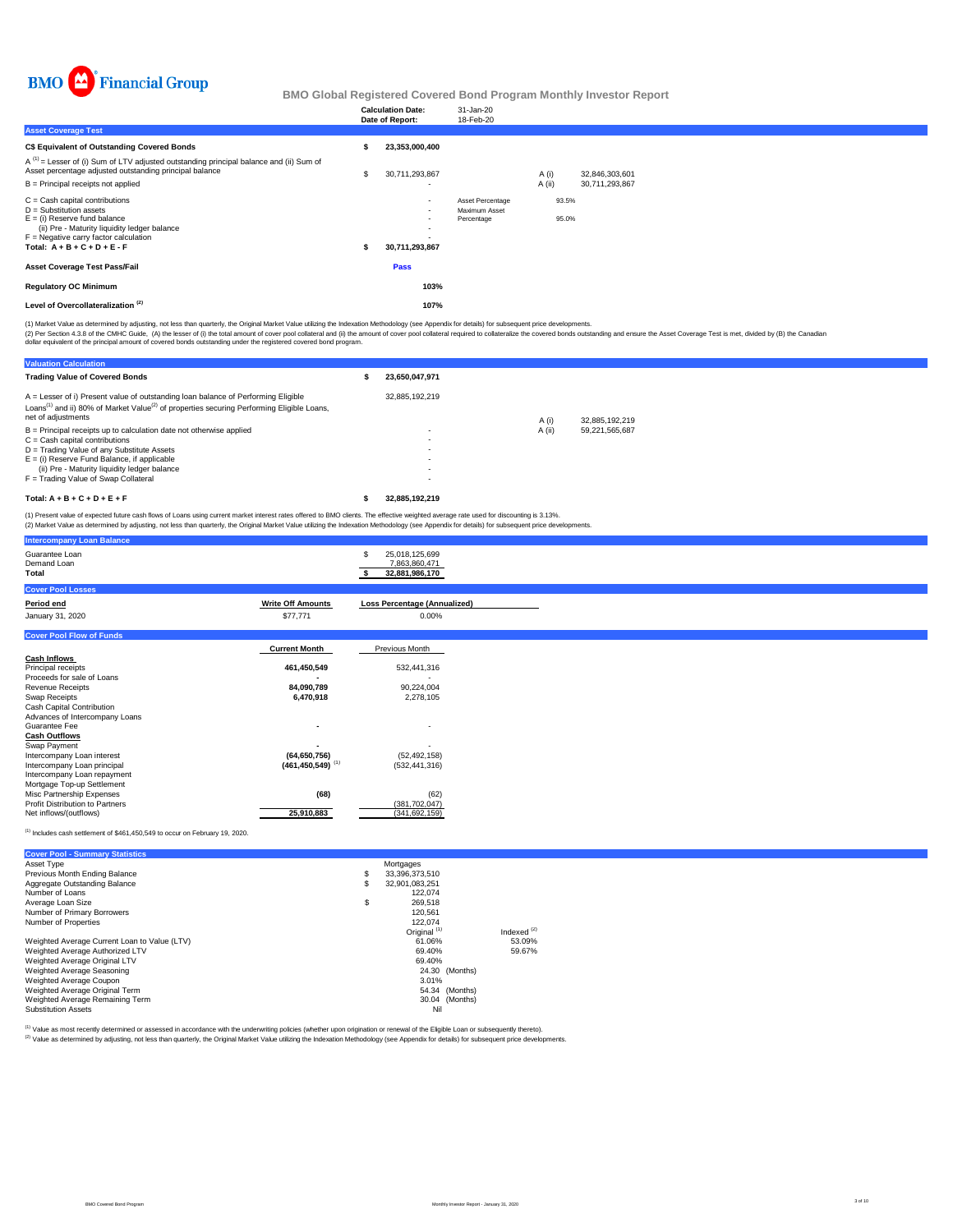

|                                                                                                                                                                                                                              | <b>Calculation Date:</b><br>Date of Report:      | 31-Jan-20<br>18-Feb-20                          |                |                |  |
|------------------------------------------------------------------------------------------------------------------------------------------------------------------------------------------------------------------------------|--------------------------------------------------|-------------------------------------------------|----------------|----------------|--|
| <b>Asset Coverage Test</b>                                                                                                                                                                                                   |                                                  |                                                 |                |                |  |
| <b>C\$ Equivalent of Outstanding Covered Bonds</b>                                                                                                                                                                           | 23.353.000.400                                   |                                                 |                |                |  |
| $A^{(1)}$ = Lesser of (i) Sum of LTV adjusted outstanding principal balance and (ii) Sum of<br>Asset percentage adjusted outstanding principal balance                                                                       | 30,711,293,867                                   |                                                 | A(i)           | 32,846,303,601 |  |
| B = Principal receipts not applied                                                                                                                                                                                           |                                                  |                                                 | A (ii)         | 30,711,293,867 |  |
| $C =$ Cash capital contributions<br>$D =$ Substitution assets<br>$E =$ (i) Reserve fund balance<br>(ii) Pre - Maturity liquidity ledger balance<br>$F =$ Negative carry factor calculation<br>Total: $A + B + C + D + E - F$ | $\sim$<br>$\sim$<br>. .<br>. .<br>30,711,293,867 | Asset Percentage<br>Maximum Asset<br>Percentage | 93.5%<br>95.0% |                |  |
| <b>Asset Coverage Test Pass/Fail</b>                                                                                                                                                                                         | Pass                                             |                                                 |                |                |  |
| <b>Regulatory OC Minimum</b>                                                                                                                                                                                                 | 103%                                             |                                                 |                |                |  |
| Level of Overcollateralization <sup>(2)</sup>                                                                                                                                                                                | 107%                                             |                                                 |                |                |  |

(1) Market Value as determined by adjusting, not less than quarterly, the Original Market Value utilizing the Indexation Methodology (see Appendix for details) for subsequent price developments.

(2) Per Section 4.3.8 of the CMHC Guide, (A) the lesser of (i) the total amount of cover pool collateral and (i)) the amount of cover pool collateral required to collateralize the covered bonds outstanding and ensure the A

| <b>Valuation Calculation</b>                                                                                                                                                                                                                                                                     |                            |        |                |
|--------------------------------------------------------------------------------------------------------------------------------------------------------------------------------------------------------------------------------------------------------------------------------------------------|----------------------------|--------|----------------|
| <b>Trading Value of Covered Bonds</b>                                                                                                                                                                                                                                                            | 23.650.047.971             |        |                |
| A = Lesser of i) Present value of outstanding loan balance of Performing Eligible<br>Loans <sup>(1)</sup> and ii) 80% of Market Value <sup>(2)</sup> of properties securing Performing Eligible Loans,<br>net of adjustments                                                                     | 32.885.192.219             | A (i)  | 32.885.192.219 |
| $B =$ Principal receipts up to calculation date not otherwise applied<br>$C =$ Cash capital contributions<br>D = Trading Value of any Substitute Assets<br>$E =$ (i) Reserve Fund Balance, if applicable<br>(ii) Pre - Maturity liquidity ledger balance<br>F = Trading Value of Swap Collateral | ٠<br>٠<br>٠<br>٠<br>٠<br>٠ | A (ii) | 59.221.565.687 |
| Total: $A + B + C + D + E + F$                                                                                                                                                                                                                                                                   | 32.885.192.219             |        |                |
| (1) Present value of expected future cash flows of Loans using current market interest rates offered to RMO clients. The effective weighted average rate used for discounting is 3,13%                                                                                                           |                            |        |                |

(1) Present value of expected future cash flows of Loans using current market interest rates offered to BMO clients. The effective weighted average rate used for discounting is 3.13%.<br>(2) Market Value as determined by adju

| <b>Intercompany Loan Balance</b>                          |                                                    |                                                        |
|-----------------------------------------------------------|----------------------------------------------------|--------------------------------------------------------|
| Guarantee Loan<br>Demand Loan<br>Total                    |                                                    | 25,018,125,699<br>S<br>7,863,860,471<br>32,881,986,170 |
| <b>Cover Pool Losses</b>                                  |                                                    |                                                        |
| Period end                                                | <b>Write Off Amounts</b>                           | <b>Loss Percentage (Annualized)</b>                    |
| January 31, 2020                                          | \$77,771                                           | $0.00\%$                                               |
| <b>Cover Pool Flow of Funds</b>                           |                                                    |                                                        |
|                                                           | <b>Current Month</b>                               | Previous Month                                         |
| <b>Cash Inflows</b>                                       |                                                    |                                                        |
| Principal receipts                                        | 461,450,549                                        | 532,441,316                                            |
| Proceeds for sale of Loans                                |                                                    |                                                        |
| Revenue Receipts                                          | 84,090,789                                         | 90,224,004                                             |
| Swap Receipts                                             | 6,470,918                                          | 2,278,105                                              |
| Cash Capital Contribution                                 |                                                    |                                                        |
| Advances of Intercompany Loans                            |                                                    |                                                        |
| Guarantee Fee                                             | $\overline{\phantom{a}}$                           | $\overline{\phantom{a}}$                               |
| <b>Cash Outflows</b>                                      |                                                    |                                                        |
| Swap Payment                                              |                                                    | (52, 492, 158)                                         |
| Intercompany Loan interest<br>Intercompany Loan principal | (64, 650, 756)<br>$(461, 450, 549)$ <sup>(1)</sup> | (532, 441, 316)                                        |
| Intercompany Loan repayment                               |                                                    |                                                        |
| Mortgage Top-up Settlement                                |                                                    |                                                        |
| Misc Partnership Expenses                                 | (68)                                               | (62)                                                   |
| <b>Profit Distribution to Partners</b>                    |                                                    | (381, 702, 047)                                        |
| Net inflows/(outflows)                                    | 25,910,883                                         | (341, 692, 159)                                        |
|                                                           |                                                    |                                                        |

 $^{(1)}$  Includes cash settlement of \$461,450,549 to occur on February 19, 2020.

| <b>Cover Pool - Summary Statistics</b>       |    |                         |               |
|----------------------------------------------|----|-------------------------|---------------|
| Asset Type                                   |    | Mortgages               |               |
| Previous Month Ending Balance                | S  | 33.396.373.510          |               |
| Aggregate Outstanding Balance                | S  | 32.901.083.251          |               |
| Number of Loans                              |    | 122.074                 |               |
| Average Loan Size                            | \$ | 269.518                 |               |
| Number of Primary Borrowers                  |    | 120.561                 |               |
| Number of Properties                         |    | 122.074                 |               |
|                                              |    | Original <sup>(1)</sup> | Indexed $(2)$ |
| Weighted Average Current Loan to Value (LTV) |    | 61.06%                  | 53.09%        |
| Weighted Average Authorized LTV              |    | 69.40%                  | 59.67%        |
| Weighted Average Original LTV                |    | 69.40%                  |               |
| Weighted Average Seasoning                   |    | 24.30<br>(Months)       |               |
| Weighted Average Coupon                      |    | 3.01%                   |               |
| Weighted Average Original Term               |    | 54.34 (Months)          |               |
| Weighted Average Remaining Term              |    | 30.04 (Months)          |               |
| <b>Substitution Assets</b>                   |    | Nil                     |               |

<sup>(1)</sup> Value as most recently determined or assessed in accordance with the underwriting policies (whether upon origination or renewal of the Eligible Loan or subsequently thereto).<br><sup>(2)</sup> Value as determined by adjusting, n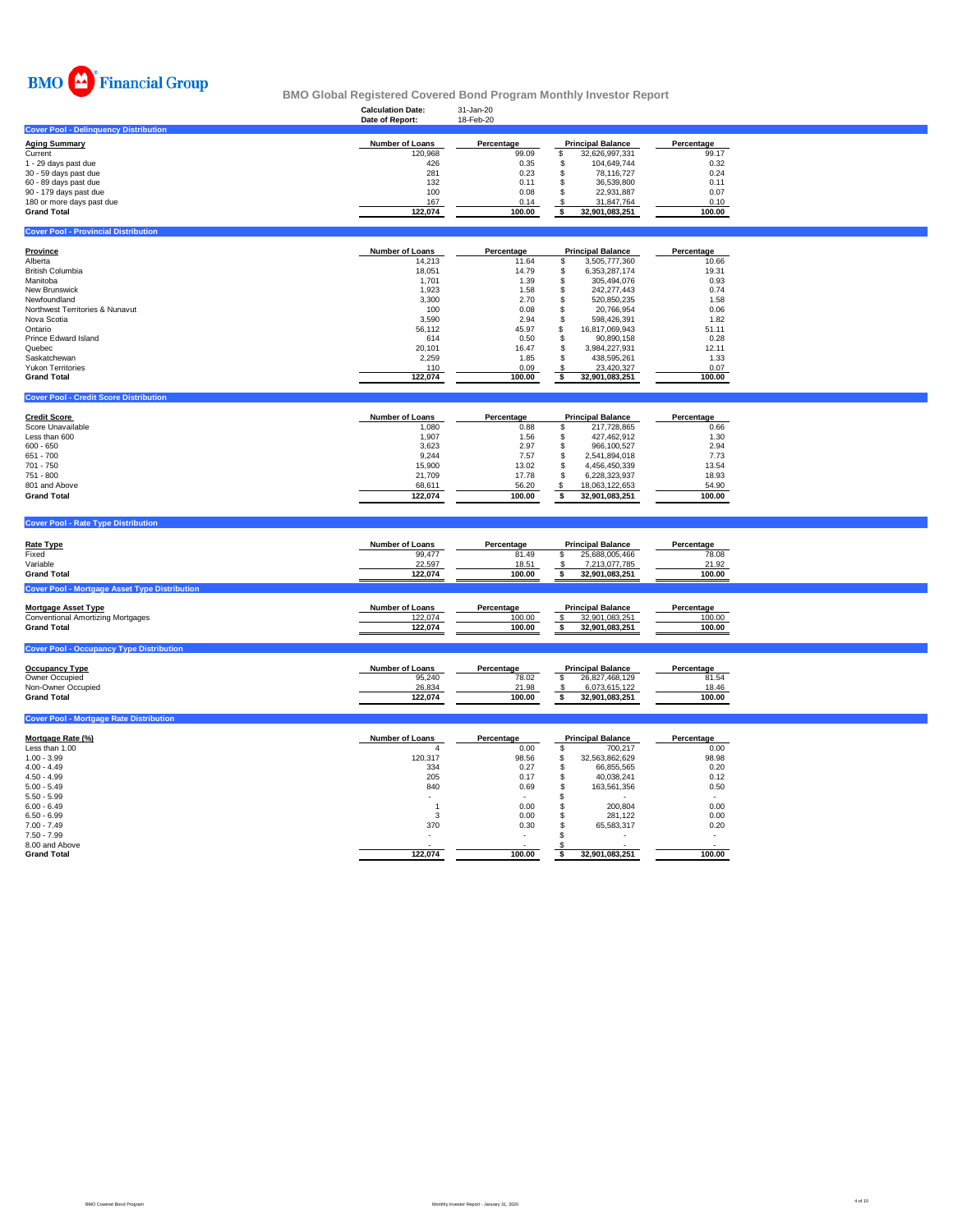

### **Calculation Date:** 31-Jan-20 **BMO Global Registered Covered Bond Program Monthly Investor Report**

|                                                      | Date of Report:        | 18-Feb-20  |                              |                |  |
|------------------------------------------------------|------------------------|------------|------------------------------|----------------|--|
| <b>Cover Pool - Delinquency Distribution</b>         |                        |            |                              |                |  |
| <b>Aging Summary</b>                                 | Number of Loans        | Percentage | <b>Principal Balance</b>     | Percentage     |  |
| Current                                              | 120,968                | 99.09      | \$<br>32,626,997,331         | 99.17          |  |
| 1 - 29 days past due                                 | 426                    | 0.35       | 104,649,744<br>\$            | 0.32           |  |
| 30 - 59 days past due                                | 281                    | 0.23       | 78,116,727<br>\$             | 0.24           |  |
| 60 - 89 days past due                                | 132                    | 0.11       | 36,539,800<br>\$             | 0.11           |  |
| 90 - 179 days past due                               | 100                    | 0.08       | 22,931,887<br>\$             | 0.07           |  |
|                                                      | 167                    | 0.14       |                              | 0.10           |  |
| 180 or more days past due                            |                        |            | \$<br>31,847,764             |                |  |
| <b>Grand Total</b>                                   | 122,074                | 100.00     | 32,901,083,251<br>\$         | 100.00         |  |
| <b>Cover Pool - Provincial Distribution</b>          |                        |            |                              |                |  |
|                                                      |                        |            |                              |                |  |
| <b>Province</b>                                      | Number of Loans        | Percentage | <b>Principal Balance</b>     | Percentage     |  |
| Alberta                                              | 14,213                 | 11.64      | 3,505,777,360<br>\$          | 10.66          |  |
| <b>British Columbia</b>                              | 18,051                 | 14.79      | \$<br>6,353,287,174          | 19.31          |  |
| Manitoba                                             | 1,701                  | 1.39       | \$<br>305,494,076            | 0.93           |  |
| New Brunswick                                        | 1,923                  | 1.58       | \$                           | 0.74           |  |
|                                                      |                        |            | 242,277,443                  |                |  |
| Newfoundland                                         | 3,300                  | 2.70       | \$<br>520,850,235            | 1.58           |  |
| Northwest Territories & Nunavut                      | 100                    | 0.08       | \$<br>20,766,954             | 0.06           |  |
| Nova Scotia                                          | 3,590                  | 2.94       | \$<br>598,426,391            | 1.82           |  |
| Ontario                                              | 56,112                 | 45.97      | \$<br>16,817,069,943         | 51.11          |  |
| Prince Edward Island                                 | 614                    | 0.50       | \$<br>90,890,158             | 0.28           |  |
| Quebec                                               | 20,101                 | 16.47      | \$<br>3,984,227,931          | 12.11          |  |
| Saskatchewan                                         | 2,259                  | 1.85       | $\mathfrak s$<br>438,595,261 | 1.33           |  |
| <b>Yukon Territories</b>                             | 110                    | 0.09       | \$<br>23,420,327             | 0.07           |  |
| <b>Grand Total</b>                                   | 122,074                | 100.00     | 32,901,083,251<br>\$         | 100.00         |  |
|                                                      |                        |            |                              |                |  |
| <b>Cover Pool - Credit Score Distribution</b>        |                        |            |                              |                |  |
|                                                      |                        |            |                              |                |  |
| <b>Credit Score</b>                                  | <b>Number of Loans</b> | Percentage | <b>Principal Balance</b>     | Percentage     |  |
| Score Unavailable                                    | 1,080                  | 0.88       | \$<br>217,728,865            | 0.66           |  |
| Less than 600                                        | 1,907                  | 1.56       | \$<br>427,462,912            | 1.30           |  |
| $600 - 650$                                          | 3,623                  | 2.97       | \$<br>966,100,527            | 2.94           |  |
| 651 - 700                                            | 9,244                  | 7.57       | 2,541,894,018<br>\$          | 7.73           |  |
| 701 - 750                                            | 15,900                 | 13.02      | 4,456,450,339<br>\$          | 13.54          |  |
| 751 - 800                                            |                        |            | 6,228,323,937                |                |  |
|                                                      | 21,709                 | 17.78      | \$                           | 18.93          |  |
| 801 and Above                                        | 68,611                 | 56.20      | \$<br>18,063,122,653         | 54.90          |  |
| <b>Grand Total</b>                                   | 122,074                | 100.00     | \$<br>32,901,083,251         | 100.00         |  |
|                                                      |                        |            |                              |                |  |
| <b>Cover Pool - Rate Type Distribution</b>           |                        |            |                              |                |  |
|                                                      |                        |            |                              |                |  |
| <b>Rate Type</b>                                     | <b>Number of Loans</b> | Percentage | <b>Principal Balance</b>     | Percentage     |  |
| Fixed                                                | 99,477                 | 81.49      | \$<br>25,688,005,466         | 78.08          |  |
| Variable                                             | 22,597                 | 18.51      | 7,213,077,785<br>-S          | 21.92          |  |
| <b>Grand Total</b>                                   | 122,074                | 100.00     | \$<br>32,901,083,251         | 100.00         |  |
|                                                      |                        |            |                              |                |  |
| <b>Cover Pool - Mortgage Asset Type Distribution</b> |                        |            |                              |                |  |
| <b>Mortgage Asset Type</b>                           | Number of Loans        | Percentage | <b>Principal Balance</b>     | Percentage     |  |
| <b>Conventional Amortizing Mortgages</b>             | 122,074                | 100.00     | \$<br>32,901,083,251         | 100.00         |  |
| <b>Grand Total</b>                                   | 122,074                | 100.00     | \$<br>32,901,083,251         | 100.00         |  |
|                                                      |                        |            |                              |                |  |
| <b>Cover Pool - Occupancy Type Distribution</b>      |                        |            |                              |                |  |
|                                                      |                        |            |                              |                |  |
| <b>Occupancy Type</b>                                | Number of Loans        | Percentage | <b>Principal Balance</b>     | Percentage     |  |
| Owner Occupied                                       | 95,240                 | 78.02      | \$<br>26,827,468,129         | 81.54          |  |
| Non-Owner Occupied                                   | 26,834                 | 21.98      | 6,073,615,122<br>-S          | 18.46          |  |
| <b>Grand Total</b>                                   | 122,074                | 100.00     | \$<br>32,901,083,251         | 100.00         |  |
|                                                      |                        |            |                              |                |  |
| <b>Cover Pool - Mortgage Rate Distribution</b>       |                        |            |                              |                |  |
| Mortgage Rate (%)                                    | Number of Loans        | Percentage | <b>Principal Balance</b>     | Percentage     |  |
| Less than 1.00                                       | $\overline{4}$         | 0.00       | \$<br>700,217                | 0.00           |  |
| $1.00 - 3.99$                                        | 120,317                | 98.56      | 32,563,862,629<br>\$         | 98.98          |  |
| $4.00 - 4.49$                                        | 334                    | 0.27       | \$<br>66,855,565             | 0.20           |  |
| $4.50 - 4.99$                                        | 205                    | 0.17       | \$<br>40,038,241             | 0.12           |  |
| $5.00 - 5.49$                                        | 840                    | 0.69       | \$                           |                |  |
|                                                      |                        |            | 163,561,356                  | 0.50           |  |
| $5.50 - 5.99$                                        |                        |            | \$                           |                |  |
| $6.00 - 6.49$                                        | $\overline{1}$         | 0.00       | \$<br>200,804                | 0.00           |  |
| $6.50 - 6.99$                                        | 3                      | 0.00       | \$<br>281,122                | 0.00           |  |
| $7.00 - 7.49$                                        | 370                    | 0.30       | \$<br>65,583,317             | 0.20           |  |
| $7.50 - 7.99$                                        |                        |            | $\mathbf{s}$                 | $\overline{a}$ |  |
| 8.00 and Above                                       |                        |            |                              |                |  |
| <b>Grand Total</b>                                   | 122.074                | 100.00     | 32.901.083.251<br>\$         | 100.00         |  |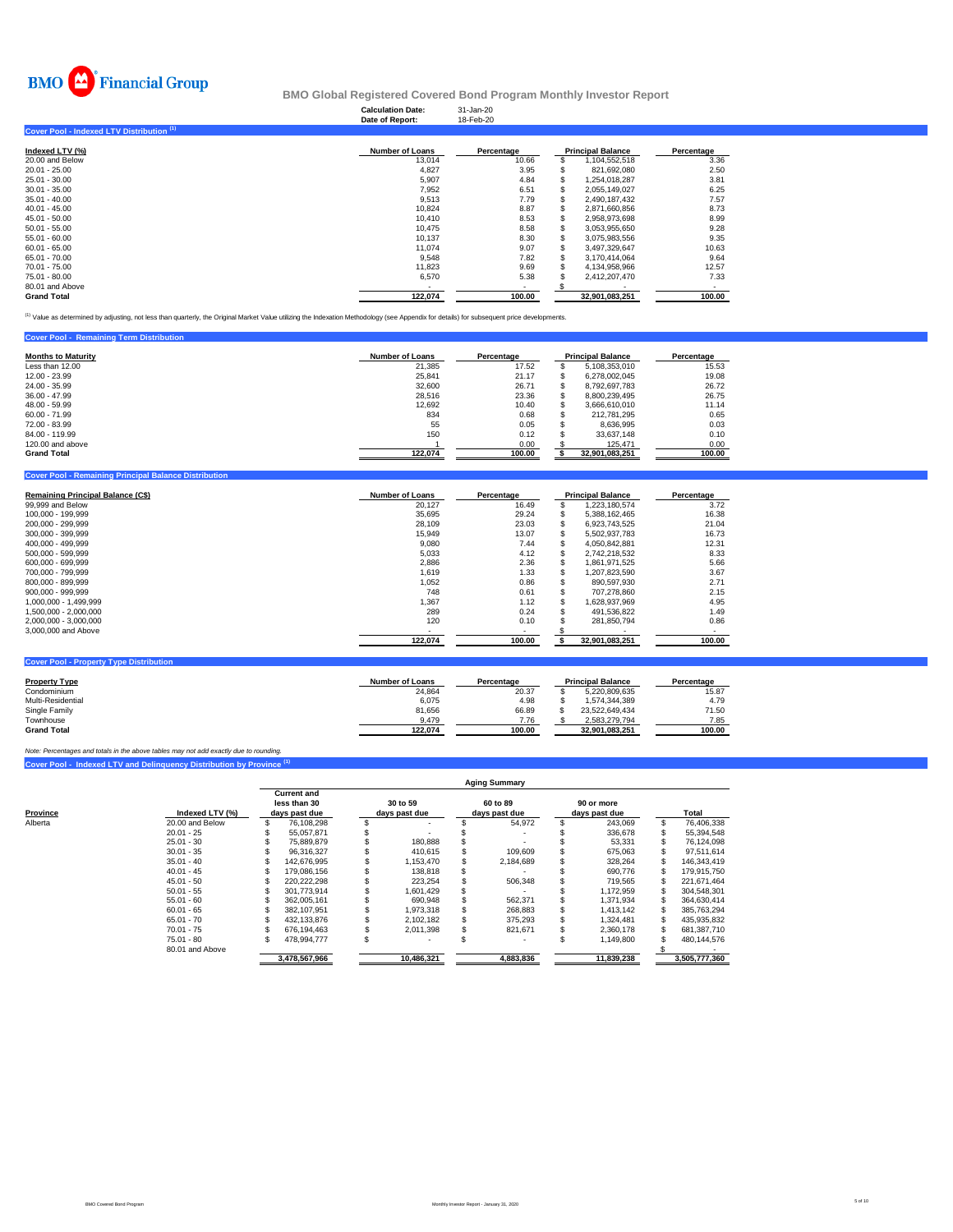

|                                           | <b>Calculation Date:</b><br>Date of Report: | 31-Jan-20<br>18-Feb-20   |                          |            |
|-------------------------------------------|---------------------------------------------|--------------------------|--------------------------|------------|
| Cover Pool - Indexed LTV Distribution (1) |                                             |                          |                          |            |
| Indexed LTV (%)                           | <b>Number of Loans</b>                      | Percentage               | <b>Principal Balance</b> | Percentage |
| 20.00 and Below                           | 13,014                                      | 10.66                    | 1,104,552,518            | 3.36       |
| 20.01 - 25.00                             | 4,827                                       | 3.95                     | 821,692,080              | 2.50       |
| 25.01 - 30.00                             | 5,907                                       | 4.84                     | 1,254,018,287            | 3.81       |
| 30.01 - 35.00                             | 7,952                                       | 6.51                     | 2,055,149,027            | 6.25       |
| 35.01 - 40.00                             | 9,513                                       | 7.79                     | 2.490.187.432            | 7.57       |
| 40.01 - 45.00                             | 10,824                                      | 8.87                     | 2,871,660,856            | 8.73       |
| 45.01 - 50.00                             | 10.410                                      | 8.53                     | 2,958,973,698            | 8.99       |
| 50.01 - 55.00                             | 10,475                                      | 8.58                     | 3,053,955,650            | 9.28       |
| 55.01 - 60.00                             | 10,137                                      | 8.30                     | 3,075,983,556            | 9.35       |
| 60.01 - 65.00                             | 11,074                                      | 9.07                     | 3,497,329,647            | 10.63      |
| 65.01 - 70.00                             | 9,548                                       | 7.82                     | 3,170,414,064            | 9.64       |
| 70.01 - 75.00                             | 11,823                                      | 9.69                     | 4,134,958,966            | 12.57      |
| 75.01 - 80.00                             | 6,570                                       | 5.38                     | 2,412,207,470            | 7.33       |
| 80.01 and Above                           |                                             | $\overline{\phantom{a}}$ |                          |            |
| Grand Total                               | 122.074                                     | 100.00                   | 32.901.083.251           | 100.00     |

<sup>(1)</sup> Value as determined by adjusting, not less than quarterly, the Original Market Value utilizing the Indexation Methodology (see Appendix for details) for subsequent price developments.

| <b>Cover Pool - Remaining Term Distribution</b> |                        |            |                          |            |
|-------------------------------------------------|------------------------|------------|--------------------------|------------|
| <b>Months to Maturity</b>                       | <b>Number of Loans</b> | Percentage | <b>Principal Balance</b> | Percentage |
| Less than 12.00                                 | 21.385                 | 17.52      | 5.108.353.010            | 15.53      |
| 12.00 - 23.99                                   | 25.841                 | 21.17      | 6.278.002.045            | 19.08      |
| 24.00 - 35.99                                   | 32,600                 | 26.71      | 8.792.697.783            | 26.72      |
| $36.00 - 47.99$                                 | 28.516                 | 23.36      | 8.800.239.495            | 26.75      |
| 48.00 - 59.99                                   | 12.692                 | 10.40      | 3.666.610.010            | 11.14      |
| $60.00 - 71.99$                                 | 834                    | 0.68       | 212.781.295              | 0.65       |
| 72.00 - 83.99                                   | 55                     | 0.05       | 8.636.995                | 0.03       |
| 84.00 - 119.99                                  | 150                    | 0.12       | 33.637.148               | 0.10       |
| 120,00 and above                                |                        | 0.00       | 125.471                  | 0.00       |
| <b>Grand Total</b>                              | 122.074                | 100.00     | 32,901,083,251           | 100.00     |

| <b>Cover Pool - Remaining Principal Balance Distribution</b> |                        |                |                          |            |  |
|--------------------------------------------------------------|------------------------|----------------|--------------------------|------------|--|
| Remaining Principal Balance (C\$)                            | <b>Number of Loans</b> | Percentage     | <b>Principal Balance</b> | Percentage |  |
| 99,999 and Below                                             | 20,127                 | 16.49          | 1.223.180.574            | 3.72       |  |
| 100.000 - 199.999                                            | 35,695                 | 29.24          | 5.388.162.465            | 16.38      |  |
| 200,000 - 299,999                                            | 28,109                 | 23.03          | 6,923,743,525            | 21.04      |  |
| 300.000 - 399.999                                            | 15,949                 | 13.07          | 5,502,937,783            | 16.73      |  |
| 400.000 - 499.999                                            | 9,080                  | 7.44           | 4.050.842.881            | 12.31      |  |
| 500.000 - 599.999                                            | 5,033                  | 4.12           | 2.742.218.532            | 8.33       |  |
| 600.000 - 699.999                                            | 2,886                  | 2.36           | 1,861,971,525            | 5.66       |  |
| 700.000 - 799.999                                            | 1.619                  | 1.33           | 1.207.823.590            | 3.67       |  |
| 800,000 - 899,999                                            | 1,052                  | 0.86           | 890,597,930              | 2.71       |  |
| 900.000 - 999.999                                            | 748                    | 0.61           | 707.278.860              | 2.15       |  |
| 1.000.000 - 1.499.999                                        | 1.367                  | 1.12           | 1.628.937.969            | 4.95       |  |
| 1.500.000 - 2.000.000                                        | 289                    | 0.24           | 491,536,822              | 1.49       |  |
| 2,000,000 - 3,000,000                                        | 120                    | 0.10           | 281,850,794              | 0.86       |  |
| 3,000,000 and Above                                          | ٠                      | $\blacksquare$ |                          |            |  |
|                                                              | 122,074                | 100.00         | 32,901,083,251           | 100.00     |  |
|                                                              |                        |                |                          |            |  |
| <b>Cover Pool - Property Type Distribution</b>               |                        |                |                          |            |  |

| <b>Property Type</b> | <b>Number of Loans</b> | Percentage | <b>Principal Balance</b> | Percentage |
|----------------------|------------------------|------------|--------------------------|------------|
| Condominium          | 24.864                 | 20.37      | 5.220.809.635            | 15.87      |
| Multi-Residential    | 6.075                  | 4.98       | 1.574.344.389            | 4.79       |
| Single Family        | 81,656                 | 66.89      | 23.522.649.434           | 71.50      |
| Townhouse            | 9.479                  | 7.76       | 2.583.279.794            | 7.85       |
| <b>Grand Total</b>   | 122.074                | 100.00     | 32.901.083.251           | 100.00     |

**Cover Pool - Indexed LTV and Delinquency Distribution by Province (1)** *Note: Percentages and totals in the above tables may not add exactly due to rounding.*

|                     |                 | <b>Aging Summary</b> |                                                     |            |                           |           |                           |  |                             |               |             |  |  |
|---------------------|-----------------|----------------------|-----------------------------------------------------|------------|---------------------------|-----------|---------------------------|--|-----------------------------|---------------|-------------|--|--|
| Province<br>Alberta | Indexed LTV (%) |                      | <b>Current and</b><br>less than 30<br>days past due |            | 30 to 59<br>days past due |           | 60 to 89<br>days past due |  | 90 or more<br>days past due |               | Total       |  |  |
|                     | 20.00 and Below |                      | 76.108.298                                          |            |                           |           | 54.972                    |  | 243.069                     | S             | 76.406.338  |  |  |
|                     | $20.01 - 25$    |                      | 55.057.871                                          |            |                           |           |                           |  | 336.678                     |               | 55,394,548  |  |  |
|                     | $25.01 - 30$    |                      | 75.889.879                                          |            | 180.888                   |           |                           |  | 53.331                      |               | 76.124.098  |  |  |
|                     | $30.01 - 35$    |                      | 96.316.327                                          |            | 410.615                   |           | 109,609                   |  | 675.063                     |               | 97.511.614  |  |  |
|                     | $35.01 - 40$    |                      | 142.676.995                                         |            | 1.153.470                 |           | 2.184.689                 |  | 328.264                     |               | 146.343.419 |  |  |
|                     | $40.01 - 45$    |                      | 179.086.156                                         |            | 138.818                   |           |                           |  | 690.776                     |               | 179.915.750 |  |  |
|                     | $45.01 - 50$    |                      | 220,222,298                                         |            | 223,254                   |           | 506,348                   |  | 719,565                     |               | 221,671,464 |  |  |
|                     | $50.01 - 55$    |                      | 301.773.914                                         |            | 1.601.429                 |           |                           |  | 1.172.959                   |               | 304,548,301 |  |  |
|                     | $55.01 - 60$    |                      | 362.005.161                                         |            | 690,948                   |           | 562,371                   |  | 1.371.934                   |               | 364,630,414 |  |  |
|                     | $60.01 - 65$    |                      | 382.107.951                                         |            | 1.973.318                 |           | 268,883                   |  | 1.413.142                   |               | 385,763,294 |  |  |
|                     | $65.01 - 70$    |                      | 432.133.876                                         |            | 2.102.182                 |           | 375.293                   |  | 1.324.481                   |               | 435.935.832 |  |  |
|                     | $70.01 - 75$    |                      | 676.194.463                                         |            | 2.011.398                 |           | 821,671                   |  | 2.360.178                   |               | 681.387.710 |  |  |
|                     | 75.01 - 80      |                      | 478.994.777                                         |            |                           |           |                           |  | 1.149.800                   |               | 480.144.576 |  |  |
|                     | 80.01 and Above |                      |                                                     |            |                           |           |                           |  |                             |               |             |  |  |
|                     |                 | 3.478.567.966        |                                                     | 10.486.321 |                           | 4,883,836 |                           |  | 11.839.238                  | 3.505.777.360 |             |  |  |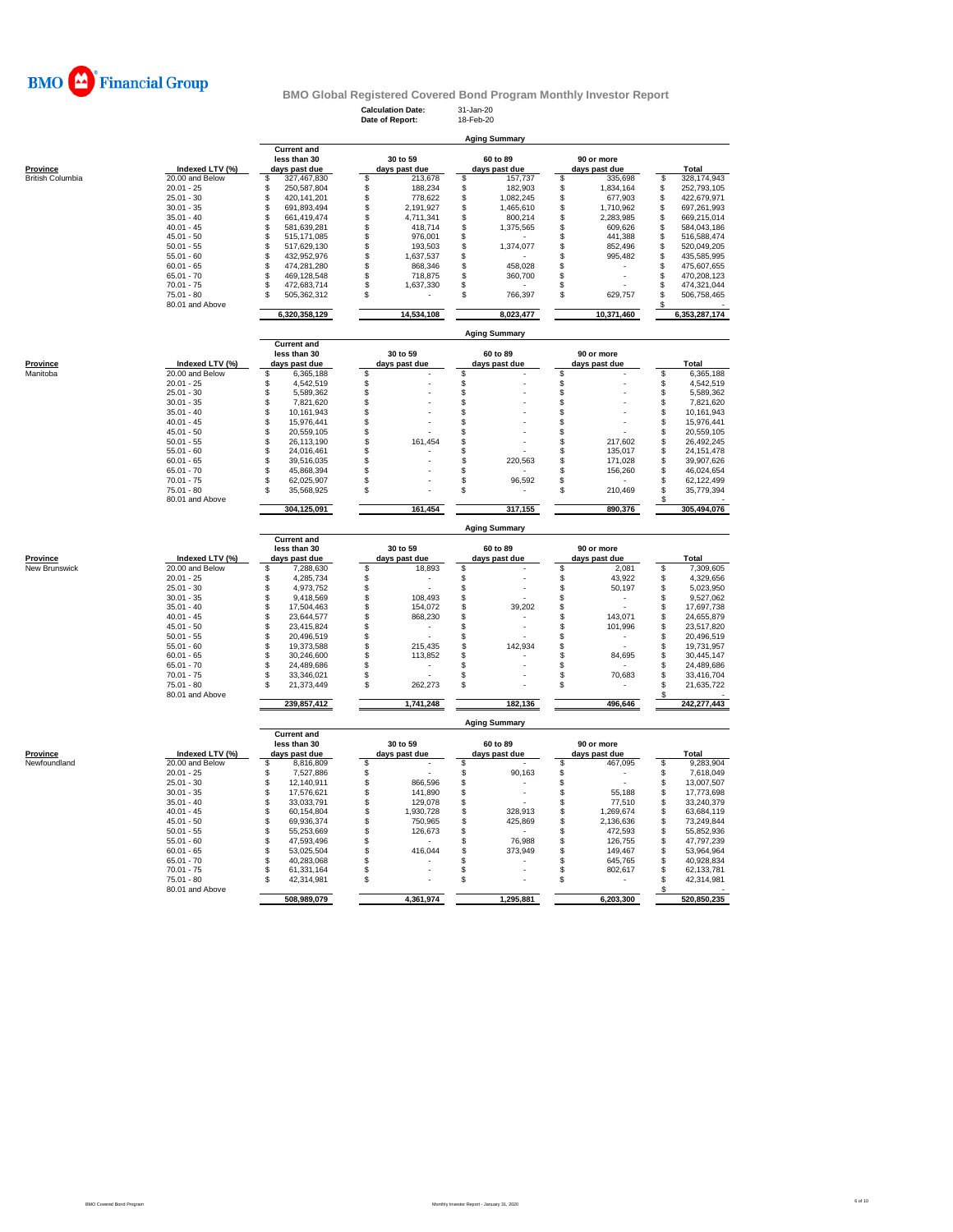

**Aging Summary**

**Calculation Date:** 31-Jan-20 **Date of Report:** 18-Feb-20

|                          |                 | <b>Current and</b>    |                                      |                      |           |          |               |           |               |
|--------------------------|-----------------|-----------------------|--------------------------------------|----------------------|-----------|----------|---------------|-----------|---------------|
|                          |                 | less than 30          | 30 to 59                             | 60 to 89             |           |          | 90 or more    |           |               |
| <b>Province</b>          | Indexed LTV (%) | days past due         | days past due                        | days past due        |           |          | days past due |           | <b>Total</b>  |
| <b>British Columbia</b>  | 20.00 and Below | \$<br>327,467,830     | \$<br>213,678                        | \$                   | 157,737   | \$       | 335,698       | \$        | 328,174,943   |
|                          | $20.01 - 25$    | \$<br>250,587,804     | \$<br>188,234                        | \$                   | 182,903   | \$       | 1,834,164     | \$        | 252,793,105   |
|                          | $25.01 - 30$    | \$<br>420,141,201     | \$<br>778,622                        | \$                   | 1,082,245 | \$       | 677,903       | \$        | 422,679,971   |
|                          | $30.01 - 35$    | \$<br>691,893,494     | \$<br>2,191,927                      | \$                   | 1,465,610 | \$       | 1,710,962     | \$        | 697,261,993   |
|                          | $35.01 - 40$    | \$<br>661,419,474     | \$<br>4,711,341                      | \$                   | 800,214   | \$       | 2,283,985     | \$        | 669,215,014   |
|                          | $40.01 - 45$    | \$<br>581,639,281     | \$<br>418,714                        | \$                   | 1,375,565 | \$       | 609,626       | \$        | 584,043,186   |
|                          |                 |                       |                                      |                      |           |          |               |           |               |
|                          | $45.01 - 50$    | 515,171,085<br>\$     | \$<br>976,001                        | \$                   |           | \$       | 441,388       | \$        | 516,588,474   |
|                          | $50.01 - 55$    | \$<br>517,629,130     | $\ddot{s}$<br>193,503                | \$                   | 1,374,077 | \$       | 852,496       | \$        | 520,049,205   |
|                          | $55.01 - 60$    | \$<br>432,952,976     | $\overline{\mathbb{S}}$<br>1,637,537 | \$                   |           | \$       | 995,482       | S         | 435,585,995   |
|                          | $60.01 - 65$    | \$<br>474,281,280     | \$<br>868,346                        | \$                   | 458.028   | \$       |               | S         | 475,607,655   |
|                          | $65.01 - 70$    | \$<br>469,128,548     | \$<br>718,875                        | \$                   | 360,700   | S        |               | \$        | 470,208,123   |
|                          | $70.01 - 75$    | \$<br>472,683,714     | \$<br>1,637,330                      | \$                   |           | S        |               | \$        | 474,321,044   |
|                          | $75.01 - 80$    | 505,362,312<br>\$     | \$                                   | \$                   | 766,397   | \$       | 629,757       | \$        | 506,758,465   |
|                          | 80.01 and Above |                       |                                      |                      |           |          |               |           |               |
|                          |                 | 6,320,358,129         | 14,534,108                           |                      | 8,023,477 |          | 10,371,460    |           | 6,353,287,174 |
|                          |                 |                       |                                      | <b>Aging Summary</b> |           |          |               |           |               |
|                          |                 | <b>Current and</b>    |                                      |                      |           |          |               |           |               |
|                          |                 | less than 30          | 30 to 59                             | 60 to 89             |           |          | 90 or more    |           |               |
| Province                 | Indexed LTV (%) | days past due         | days past due                        |                      |           |          | days past due |           | Total         |
|                          |                 |                       |                                      | days past due        |           |          |               |           |               |
| Manitoba                 | 20.00 and Below | \$<br>6,365,188       | \$                                   | \$                   |           | S        |               | \$        | 6,365,188     |
|                          | $20.01 - 25$    | 4,542,519<br>\$       | \$                                   | \$                   |           | \$       |               | \$        | 4,542,519     |
|                          | $25.01 - 30$    | S<br>5,589,362        | \$                                   | \$                   |           | \$       |               | \$        | 5,589,362     |
|                          | $30.01 - 35$    | \$<br>7,821,620       | \$                                   | \$                   |           | \$       |               | \$        | 7,821,620     |
|                          | $35.01 - 40$    | \$<br>10,161,943      | \$                                   | \$                   |           | \$       |               | \$        | 10,161,943    |
|                          | $40.01 - 45$    | \$<br>15,976,441      | \$                                   | \$                   |           | \$       |               | S         | 15,976,441    |
|                          | $45.01 - 50$    | \$<br>20,559,105      | \$                                   | \$                   |           | \$       |               | \$        | 20,559,105    |
|                          |                 |                       |                                      |                      |           |          |               |           |               |
|                          | $50.01 - 55$    | \$<br>26,113,190      | \$<br>161,454                        | \$                   |           | \$       | 217,602       | \$        | 26,492,245    |
|                          | $55.01 - 60$    | \$<br>24,016,461      | \$                                   | \$                   |           | \$       | 135,017       | \$        | 24, 151, 478  |
|                          | $60.01 - 65$    | \$<br>39,516,035      | \$                                   | \$                   | 220,563   | \$       | 171,028       | \$        | 39,907,626    |
|                          | $65.01 - 70$    | 45,868,394<br>\$      | \$                                   | \$                   |           | \$       | 156,260       | \$        | 46,024,654    |
|                          | $70.01 - 75$    | \$<br>62,025,907      | \$                                   | \$                   | 96,592    | \$       |               | \$        | 62,122,499    |
|                          | $75.01 - 80$    | S<br>35,568,925       | \$                                   | \$                   |           | \$       | 210,469       | \$        | 35,779,394    |
|                          | 80.01 and Above |                       |                                      |                      |           |          |               | \$        |               |
|                          |                 | 304,125,091           | 161,454                              |                      | 317,155   |          | 890,376       |           | 305,494,076   |
|                          |                 |                       |                                      |                      |           |          |               |           |               |
|                          |                 | <b>Current and</b>    |                                      | <b>Aging Summary</b> |           |          |               |           |               |
|                          |                 | less than 30          | 30 to 59                             | 60 to 89             |           |          | 90 or more    |           |               |
| Province                 | Indexed LTV (%) | days past due         | days past due                        | days past due        |           |          | days past due |           | Total         |
| New Brunswick            | 20.00 and Below | \$<br>7,288,630       | \$<br>18,893                         | \$                   |           | \$       | 2,081         | S         | 7,309,605     |
|                          | $20.01 - 25$    | \$<br>4,285,734       | \$                                   | \$                   |           | \$       | 43,922        | \$        | 4,329,656     |
|                          | $25.01 - 30$    | \$<br>4,973,752       |                                      | \$                   |           | \$       | 50,197        | \$        | 5,023,950     |
|                          |                 |                       | \$                                   |                      |           |          |               |           |               |
|                          | $30.01 - 35$    | \$<br>9,418,569       | \$<br>108,493                        | \$                   |           | \$       |               | \$        | 9,527,062     |
|                          | $35.01 - 40$    | \$<br>17,504,463      | \$<br>154,072                        | \$                   | 39,202    | \$       |               | \$        | 17,697,738    |
|                          | $40.01 - 45$    | \$<br>23,644,577      | \$<br>868,230                        | \$                   |           | \$       | 143,071       | \$        | 24,655,879    |
|                          | $45.01 - 50$    | \$<br>23,415,824      | \$                                   | \$                   |           | \$       | 101,996       | \$        | 23,517,820    |
|                          | $50.01 - 55$    | \$<br>20,496,519      | \$                                   | \$                   |           | \$       |               | \$        | 20,496,519    |
|                          | $55.01 - 60$    | \$<br>19,373,588      | \$<br>215,435                        | \$                   | 142,934   | \$       |               | \$        | 19,731,957    |
|                          | $60.01 - 65$    | \$                    | \$                                   | \$                   |           |          | 84,695        | \$        |               |
|                          |                 | 30,246,600            | 113,852                              |                      |           | \$       |               |           | 30,445,147    |
|                          | $65.01 - 70$    | \$<br>24,489,686      | \$                                   | \$                   |           | \$       |               | \$        | 24,489,686    |
|                          | $70.01 - 75$    | \$<br>33,346,021      | \$                                   | \$                   |           | \$       | 70,683        | \$        | 33,416,704    |
|                          | $75.01 - 80$    | \$<br>21,373,449      | \$<br>262,273                        | \$                   |           | S        |               | \$        | 21,635,722    |
|                          |                 |                       |                                      |                      |           |          |               | £.        |               |
|                          | 80.01 and Above |                       |                                      |                      |           |          |               |           | 242,277,443   |
|                          |                 | 239,857,412           | 1,741,248                            |                      | 182,136   |          | 496,646       |           |               |
|                          |                 |                       |                                      | <b>Aging Summary</b> |           |          |               |           |               |
|                          |                 | <b>Current and</b>    |                                      |                      |           |          |               |           |               |
|                          |                 | less than 30          | 30 to 59                             | 60 to 89             |           |          | 90 or more    |           |               |
|                          | Indexed LTV (%) | days past due         | days past due                        | days past due        |           |          | days past due |           | Total         |
|                          | 20.00 and Below | \$<br>8,816,809       | \$                                   | \$                   |           | \$       | 467,095       | S         | 9,283,904     |
|                          | $20.01 - 25$    | \$<br>7,527,886       | \$                                   | \$                   | 90,163    | \$       |               | \$        | 7,618,049     |
|                          | $25.01 - 30$    | \$<br>12,140,911      | 866.596                              | \$                   |           | \$       |               | \$        | 13,007,507    |
|                          | $30.01 - 35$    | \$<br>17,576,621      | \$<br>141,890                        | \$                   |           | \$       | 55,188        | \$        | 17,773,698    |
|                          | $35.01 - 40$    | \$<br>33,033,791      | 129,078                              |                      |           |          | 77,510        | \$        | 33,240,379    |
|                          |                 |                       | \$                                   | \$                   |           | \$       |               |           |               |
|                          | $40.01 - 45$    | \$<br>60,154,804      | \$<br>1,930,728                      | $\,$                 | 328,913   | \$       | 1,269,674     | \$        | 63,684,119    |
|                          | $45.01 - 50$    | \$<br>69,936,374      | \$<br>750,965                        | \$                   | 425,869   | S        | 2,136,636     | \$        | 73,249,844    |
|                          | $50.01 - 55$    | \$<br>55,253,669      | \$<br>126,673                        | \$                   |           | \$       | 472,593       | \$        | 55,852,936    |
|                          | $55.01 - 60$    | \$<br>47,593,496      | \$                                   | \$                   | 76,988    | \$       | 126,755       | \$        | 47,797,239    |
|                          | $60.01 - 65$    | \$<br>53,025,504      | \$<br>416,044                        | \$                   | 373,949   | \$       | 149,467       | \$        | 53,964,964    |
|                          | $65.01 - 70$    | \$<br>40,283,068      | \$                                   | \$                   |           | \$       | 645,765       | \$        | 40,928,834    |
|                          |                 |                       |                                      |                      |           |          |               |           |               |
|                          | $70.01 - 75$    | \$<br>61,331,164<br>S | \$                                   | \$                   |           | \$<br>\$ | 802,617       | \$        | 62,133,781    |
|                          | $75.01 - 80$    | 42,314,981            | \$                                   | \$                   |           |          |               | \$<br>\$. | 42,314,981    |
| Province<br>Newfoundland | 80.01 and Above | 508,989,079           | 4,361,974                            |                      | 1,295,881 |          | 6,203,300     |           | 520,850,235   |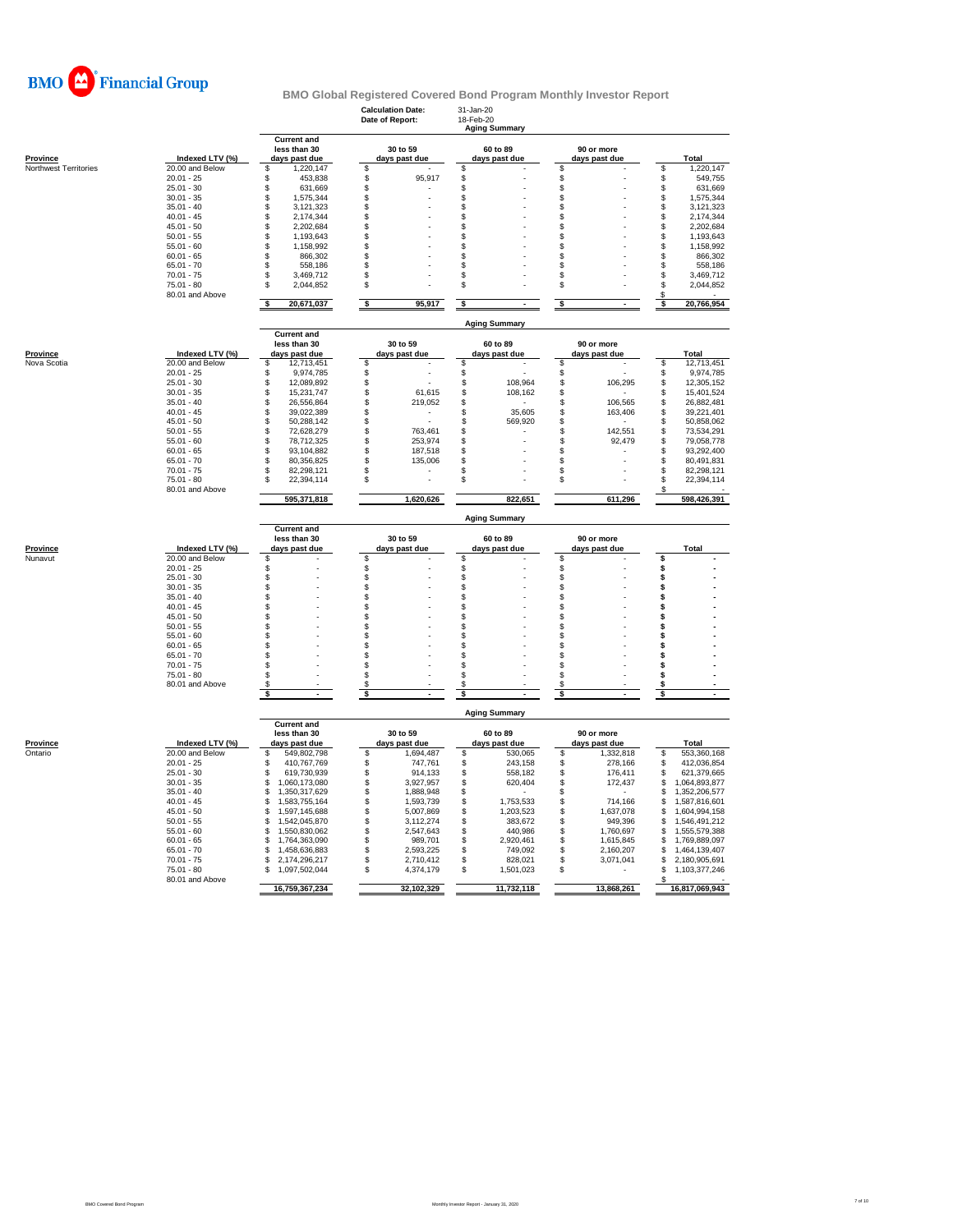

|                              |                                 |                                                     | <b>Calculation Date:</b><br>Date of Report: |                           | 31-Jan-20<br>18-Feb-20 | <b>Aging Summary</b>      |          |                             |          |                            |
|------------------------------|---------------------------------|-----------------------------------------------------|---------------------------------------------|---------------------------|------------------------|---------------------------|----------|-----------------------------|----------|----------------------------|
| <b>Province</b>              | Indexed LTV (%)                 | <b>Current and</b><br>less than 30<br>days past due |                                             | 30 to 59<br>days past due |                        | 60 to 89<br>days past due |          | 90 or more<br>days past due |          | Total                      |
| <b>Northwest Territories</b> | 20.00 and Below                 | \$<br>1,220,147                                     | \$                                          |                           | \$                     |                           | \$       |                             | \$       | 1,220,147                  |
|                              | $20.01 - 25$                    | \$<br>453,838                                       | \$                                          | 95,917                    | \$                     |                           | \$       |                             | \$       | 549,755                    |
|                              | $25.01 - 30$                    | \$<br>631,669                                       | \$                                          |                           | \$                     |                           | \$       |                             | \$       | 631,669                    |
|                              | $30.01 - 35$                    | \$<br>1,575,344                                     | S                                           |                           | \$                     |                           | \$       |                             | \$       | 1,575,344                  |
|                              | $35.01 - 40$                    | \$<br>3,121,323                                     | \$                                          |                           | \$                     |                           | S        |                             | \$       | 3,121,323                  |
|                              | $40.01 - 45$                    | \$<br>2,174,344                                     | S                                           |                           | \$                     |                           | \$       |                             | \$       | 2,174,344                  |
|                              | $45.01 - 50$                    | \$<br>2,202,684                                     | S                                           |                           | \$                     |                           | \$       |                             | \$       | 2,202,684                  |
|                              | $50.01 - 55$                    | \$<br>1,193,643                                     | Ŝ                                           |                           | \$                     |                           | \$       |                             | \$       | 1,193,643                  |
|                              | $55.01 - 60$                    | \$<br>1,158,992                                     | \$                                          |                           | \$                     |                           | S        |                             | \$       | 1,158,992                  |
|                              | $60.01 - 65$                    | \$<br>866,302                                       | S                                           |                           | \$                     |                           | \$       |                             | \$       | 866,302                    |
|                              | $65.01 - 70$                    | \$<br>558,186                                       | S                                           |                           | \$                     |                           | \$       |                             | \$       | 558,186                    |
|                              | $70.01 - 75$<br>$75.01 - 80$    | \$<br>3,469,712<br>\$<br>2,044,852                  | S<br>Ŝ                                      |                           | \$<br>\$               |                           | \$<br>\$ |                             | \$<br>\$ | 3,469,712<br>2,044,852     |
|                              | 80.01 and Above                 |                                                     |                                             |                           |                        |                           |          |                             | S        |                            |
|                              |                                 | s<br>20,671,037                                     | $\overline{\bullet}$                        | 95,917                    | \$                     |                           | \$       |                             | \$       | 20,766,954                 |
|                              |                                 | <b>Current and</b>                                  |                                             |                           |                        | <b>Aging Summary</b>      |          |                             |          |                            |
| <b>Province</b>              | Indexed LTV (%)                 | less than 30<br>days past due                       |                                             | 30 to 59<br>days past due |                        | 60 to 89<br>days past due |          | 90 or more<br>days past due |          | Total                      |
| Nova Scotia                  | 20.00 and Below                 | \$<br>12,713,451                                    | \$                                          |                           | \$                     |                           | \$       |                             | \$       | 12,713,451                 |
|                              | $20.01 - 25$                    | \$<br>9,974,785                                     | \$                                          | L.                        | \$                     |                           | \$       |                             | \$       | 9,974,785                  |
|                              | $25.01 - 30$                    | \$<br>12,089,892                                    | \$                                          |                           | \$                     | 108,964                   | \$       | 106,295                     | \$       | 12,305,152                 |
|                              | $30.01 - 35$                    | \$<br>15,231,747                                    | \$                                          | 61,615                    | \$                     | 108,162                   | \$       |                             | \$       | 15,401,524                 |
|                              | $35.01 - 40$                    | \$<br>26,556,864                                    | \$                                          | 219,052                   | \$                     |                           | \$       | 106,565                     | \$       | 26,882,481                 |
|                              | $40.01 - 45$                    | \$<br>39,022,389                                    | S                                           |                           | \$                     | 35,605                    | \$       | 163,406                     | \$       | 39,221,401                 |
|                              | $45.01 - 50$                    | \$<br>50,288,142                                    | \$                                          |                           | \$                     | 569,920                   | \$       |                             | \$       | 50,858,062                 |
|                              | $50.01 - 55$                    | \$<br>72,628,279                                    | \$                                          | 763,461                   | \$                     |                           | \$       | 142,551                     | \$       | 73,534,291                 |
|                              | $55.01 - 60$                    | \$<br>78,712,325                                    | \$                                          | 253,974                   | \$                     |                           | \$       | 92,479                      | \$       | 79,058,778                 |
|                              | $60.01 - 65$                    | \$<br>93,104,882                                    | \$                                          | 187,518                   | \$                     |                           | \$       |                             | \$       | 93,292,400                 |
|                              | $65.01 - 70$                    | \$<br>80,356,825                                    | \$                                          | 135,006                   | \$                     |                           | \$       |                             | \$       | 80,491,831                 |
|                              | $70.01 - 75$                    | \$<br>82,298,121                                    | S                                           | L.                        | \$                     |                           | \$       |                             | \$       | 82,298,121                 |
|                              | $75.01 - 80$<br>80.01 and Above | \$<br>22,394,114                                    | \$                                          |                           | \$                     |                           | \$       |                             | \$<br>S  | 22,394,114                 |
|                              |                                 | 595,371,818                                         |                                             | 1,620,626                 |                        | 822,651                   |          | 611,296                     |          | 598,426,391                |
|                              |                                 | <b>Current and</b>                                  |                                             |                           |                        | <b>Aging Summary</b>      |          |                             |          |                            |
|                              |                                 | less than 30                                        |                                             | 30 to 59                  |                        | 60 to 89                  |          | 90 or more                  |          |                            |
| <b>Province</b>              | Indexed LTV (%)                 | days past due                                       |                                             | days past due             |                        | days past due             |          | days past due               |          | <b>Total</b>               |
| Nunavut                      | 20.00 and Below                 | \$                                                  | S                                           |                           | \$                     |                           | \$       |                             | Ś        |                            |
|                              | $20.01 - 25$                    | \$                                                  | \$                                          |                           | \$                     |                           | \$       |                             | \$       |                            |
|                              | $25.01 - 30$                    | \$                                                  | S                                           |                           | \$                     |                           | \$       |                             | \$       |                            |
|                              | $30.01 - 35$                    | \$                                                  | S                                           |                           | \$                     |                           | \$       |                             | \$       |                            |
|                              | $35.01 - 40$                    | \$                                                  | \$                                          |                           | \$                     |                           | \$       |                             | \$       |                            |
|                              | $40.01 - 45$                    | $\dot{\$}$                                          | S                                           |                           | \$                     |                           | S        |                             | s        |                            |
|                              | $45.01 - 50$                    | $\mathbb S$                                         | \$<br>\$                                    |                           | \$                     |                           | \$       |                             | \$       |                            |
|                              | $50.01 - 55$<br>$55.01 - 60$    | \$<br>\$                                            | S                                           |                           | \$<br>\$               |                           | \$<br>\$ |                             | s<br>s   |                            |
|                              | $60.01 - 65$                    | \$                                                  | S                                           |                           | \$                     |                           | \$       |                             | \$       |                            |
|                              | $65.01 - 70$                    | \$                                                  | \$                                          |                           | \$                     |                           | \$       |                             | \$       |                            |
|                              |                                 |                                                     |                                             |                           |                        |                           |          |                             |          |                            |
|                              |                                 |                                                     |                                             |                           |                        |                           |          |                             |          |                            |
|                              | $70.01 - 75$                    | \$                                                  | S                                           |                           | \$                     |                           | S        |                             | s        |                            |
|                              | $75.01 - 80$                    | \$                                                  | \$                                          |                           | \$                     |                           | \$       |                             | \$       |                            |
|                              | 80.01 and Above                 | \$                                                  | S<br>\$                                     |                           | S<br>\$                |                           | S<br>\$. |                             | s<br>s   |                            |
|                              |                                 | \$                                                  |                                             |                           |                        |                           |          |                             |          |                            |
|                              |                                 |                                                     |                                             |                           |                        | <b>Aging Summary</b>      |          |                             |          |                            |
|                              |                                 | <b>Current and</b>                                  |                                             |                           |                        |                           |          |                             |          |                            |
|                              |                                 | less than 30                                        |                                             | 30 to 59                  |                        | 60 to 89                  |          | 90 or more                  |          | Total                      |
| Province                     | Indexed LTV (%)                 | days past due                                       |                                             | days past due             |                        | days past due             |          | days past due               |          |                            |
| Ontario                      | 20.00 and Below<br>$20.01 - 25$ | 549,802,798<br>\$<br>410,767,769<br>\$.             | \$                                          | 1,694,487<br>747,761      | \$                     | 530,065<br>243,158        | \$       | 1,332,818<br>278,166        | \$<br>\$ | 553,360,168<br>412,036,854 |
|                              | $25.01 - 30$                    | \$<br>619,730,939                                   | \$<br>\$                                    | 914,133                   | \$<br>\$               | 558,182                   | \$<br>\$ | 176,411                     | \$       | 621,379,665                |
|                              | $30.01 - 35$                    | \$<br>1,060,173,080                                 | \$                                          | 3,927,957                 | \$                     | 620,404                   | \$       | 172,437                     | \$       | 1,064,893,877              |
|                              | $35.01 - 40$                    | \$.<br>1,350,317,629                                | \$                                          | 1,888,948                 | \$                     |                           | \$       |                             | \$       | 1,352,206,577              |
|                              | $40.01 - 45$                    | \$<br>1,583,755,164                                 | \$                                          | 1,593,739                 | \$                     | 1,753,533                 | \$       | 714,166                     | \$       | 1,587,816,601              |
|                              | $45.01 - 50$                    | \$<br>1,597,145,688                                 | \$                                          | 5,007,869                 | \$                     | 1,203,523                 | \$       | 1,637,078                   | \$       | 1,604,994,158              |
|                              | $50.01 - 55$                    | \$.<br>1,542,045,870                                | \$                                          | 3,112,274                 | \$                     | 383,672                   | \$       | 949,396                     | \$       | 1,546,491,212              |
|                              | $55.01 - 60$                    | \$<br>1,550,830,062                                 | \$                                          | 2,547,643                 | \$                     | 440,986                   | \$       | 1,760,697                   | \$       | 1,555,579,388              |
|                              | $60.01 - 65$                    | \$<br>1,764,363,090                                 | \$                                          | 989,701                   | \$                     | 2,920,461                 | \$       | 1,615,845                   | \$       | 1,769,889,097              |
|                              | $65.01 - 70$                    | \$.<br>1,458,636,883                                | \$                                          | 2,593,225                 | \$                     | 749,092                   | \$       | 2,160,207                   | \$       | 1,464,139,407              |
|                              | $70.01 - 75$                    | 2,174,296,217<br>\$                                 | \$                                          | 2,710,412                 | \$                     | 828,021                   | \$       | 3,071,041                   | \$       | 2,180,905,691              |
|                              | 75.01 - 80                      | \$<br>1,097,502,044                                 | \$                                          | 4,374,179                 | \$                     | 1,501,023                 | \$       |                             | \$       | 1,103,377,246              |
|                              | 80.01 and Above                 | 16,759,367,234                                      |                                             | 32,102,329                |                        | 11,732,118                |          | 13,868,261                  |          | 16,817,069,943             |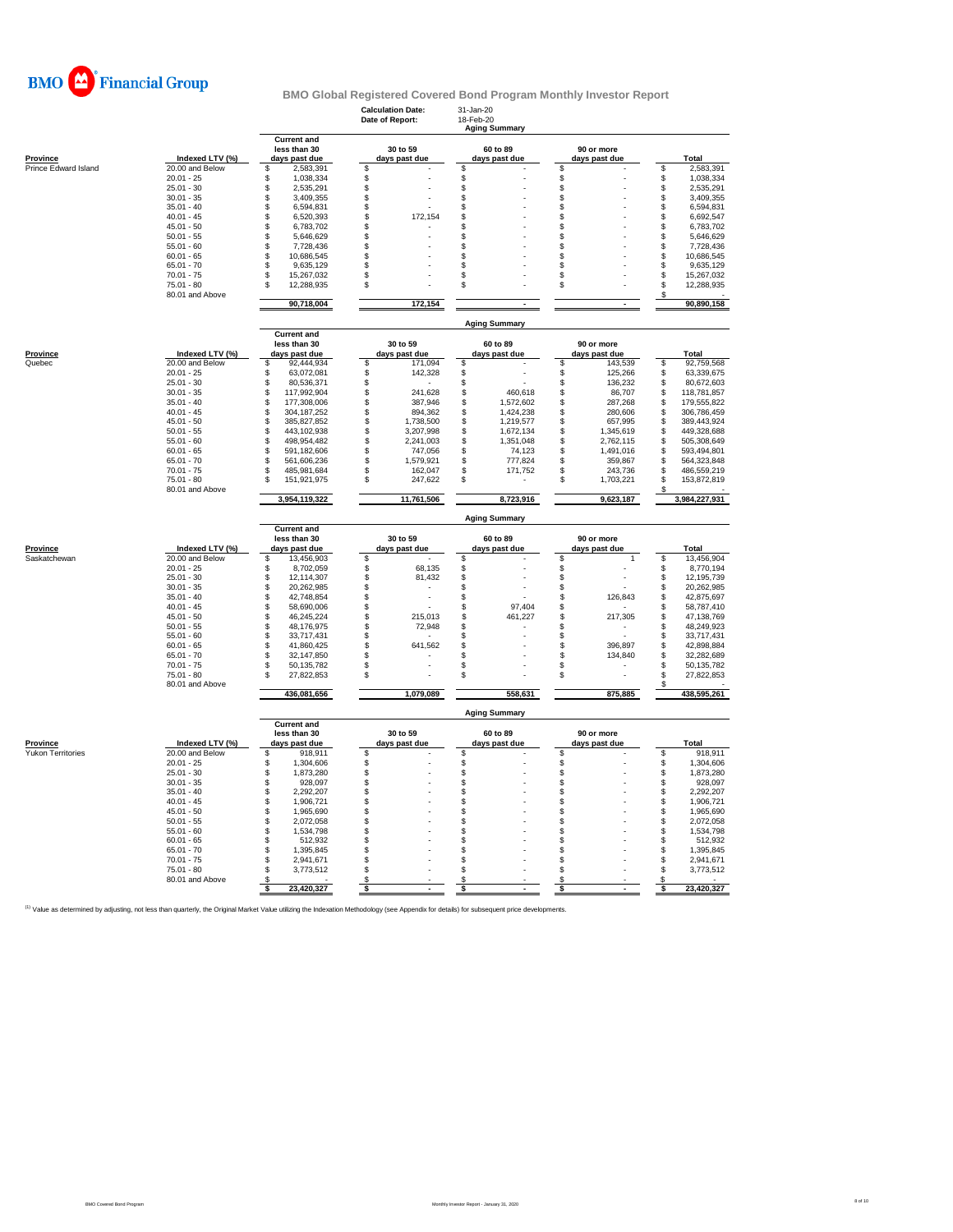

|                          |                                 |                                                     | <b>Calculation Date:</b><br>Date of Report: | 31-Jan-20<br>18-Feb-20<br><b>Aging Summary</b> |                                |                                      |
|--------------------------|---------------------------------|-----------------------------------------------------|---------------------------------------------|------------------------------------------------|--------------------------------|--------------------------------------|
| Province                 | Indexed LTV (%)                 | <b>Current and</b><br>less than 30<br>days past due | 30 to 59<br>days past due                   | 60 to 89<br>days past due                      | 90 or more<br>days past due    | Total                                |
| Prince Edward Island     | 20.00 and Below                 | \$<br>2,583,391                                     | \$                                          | \$                                             | \$                             | \$<br>2,583,391                      |
|                          | $20.01 - 25$                    | \$<br>1,038,334                                     | \$                                          | \$                                             | \$                             | \$<br>1,038,334                      |
|                          | $25.01 - 30$                    | \$<br>2,535,291                                     | \$                                          | \$                                             | \$                             | \$<br>2,535,291                      |
|                          | $30.01 - 35$                    | 3,409,355<br>\$                                     | \$                                          | \$                                             | \$                             | \$<br>3,409,355                      |
|                          | $35.01 - 40$                    | \$<br>6,594,831                                     | \$                                          | \$                                             | \$                             | \$<br>6,594,831                      |
|                          | $40.01 - 45$                    | \$<br>6,520,393                                     | \$<br>172,154                               | \$                                             | \$                             | \$<br>6,692,547                      |
|                          | $45.01 - 50$                    | \$<br>6,783,702                                     | \$                                          | \$                                             | \$                             | \$<br>6,783,702                      |
|                          | $50.01 - 55$                    | \$<br>5,646,629                                     | \$                                          | \$                                             | \$                             | \$<br>5,646,629                      |
|                          | $55.01 - 60$                    | \$<br>7,728,436                                     | \$                                          | \$                                             | \$                             | \$<br>7,728,436                      |
|                          | $60.01 - 65$                    | \$.<br>10,686,545                                   | \$                                          | \$                                             | \$                             | S<br>10,686,545                      |
|                          | $65.01 - 70$                    | \$<br>9,635,129                                     | \$                                          | \$                                             | \$                             | \$<br>9,635,129                      |
|                          | $70.01 - 75$<br>$75.01 - 80$    | s<br>15,267,032<br>S                                | \$<br>\$                                    | \$<br>\$                                       | \$                             | \$<br>15,267,032<br>S                |
|                          | 80.01 and Above                 | 12,288,935                                          |                                             |                                                | \$                             | 12,288,935<br>\$                     |
|                          |                                 | 90,718,004                                          | 172,154                                     |                                                |                                | 90,890,158                           |
|                          |                                 |                                                     |                                             | <b>Aging Summary</b>                           |                                |                                      |
|                          |                                 | <b>Current and</b>                                  |                                             |                                                |                                |                                      |
|                          |                                 | less than 30                                        | 30 to 59                                    | 60 to 89                                       | 90 or more                     |                                      |
| Province                 | Indexed LTV (%)                 | days past due                                       | days past due                               | days past due                                  | days past due                  | Total                                |
| Quebec                   | 20.00 and Below                 | \$<br>92,444,934                                    | \$<br>171,094                               | \$                                             | \$<br>143,539                  | \$<br>92,759,568                     |
|                          | $20.01 - 25$<br>$25.01 - 30$    | \$<br>63,072,081<br>\$<br>80,536,371                | \$<br>142,328<br>\$                         | \$<br>\$                                       | \$<br>125,266<br>\$<br>136,232 | \$<br>63,339,675<br>S<br>80,672,603  |
|                          | $30.01 - 35$                    | \$<br>117,992,904                                   | \$<br>241,628                               | \$<br>460,618                                  | \$<br>86,707                   | \$<br>118,781,857                    |
|                          | $35.01 - 40$                    | 177,308,006<br>\$                                   | \$<br>387,946                               | \$<br>1,572,602                                | \$<br>287,268                  | S<br>179,555,822                     |
|                          | $40.01 - 45$                    | \$<br>304, 187, 252                                 | \$<br>894,362                               | \$<br>1,424,238                                | \$<br>280,606                  | S<br>306,786,459                     |
|                          | $45.01 - 50$                    | \$<br>385,827,852                                   | \$<br>1,738,500                             | \$<br>1,219,577                                | \$<br>657,995                  | \$<br>389,443,924                    |
|                          | $50.01 - 55$                    | \$<br>443,102,938                                   | \$<br>3,207,998                             | \$<br>1,672,134                                | \$<br>1,345,619                | \$<br>449,328,688                    |
|                          | $55.01 - 60$                    | \$<br>498,954,482                                   | \$<br>2,241,003                             | \$<br>1,351,048                                | \$<br>2,762,115                | S<br>505,308,649                     |
|                          | $60.01 - 65$                    | \$<br>591,182,606                                   | \$<br>747,056                               | \$<br>74,123                                   | \$<br>1,491,016                | \$<br>593,494,801                    |
|                          | $65.01 - 70$                    | 561,606,236<br>\$                                   | \$<br>1,579,921                             | \$<br>777,824                                  | \$<br>359,867                  | S<br>564,323,848                     |
|                          | $70.01 - 75$                    | 485,981,684<br>\$                                   | \$<br>162,047                               | \$<br>171,752                                  | \$<br>243,736                  | S<br>486,559,219                     |
|                          | $75.01 - 80$                    | 151,921,975<br>S                                    | \$<br>247,622                               | \$                                             | \$<br>1,703,221                | \$<br>153,872,819                    |
|                          | 80.01 and Above                 |                                                     |                                             |                                                |                                | \$                                   |
|                          |                                 |                                                     |                                             |                                                |                                |                                      |
|                          |                                 | 3,954,119,322                                       | 11,761,506                                  | 8,723,916                                      | 9,623,187                      | 3,984,227,931                        |
|                          |                                 | <b>Current and</b>                                  |                                             | <b>Aging Summary</b>                           |                                |                                      |
|                          |                                 | less than 30                                        | 30 to 59                                    | 60 to 89                                       | 90 or more                     |                                      |
| <b>Province</b>          | Indexed LTV (%)                 | days past due                                       | days past due                               | days past due                                  | days past due                  | Total                                |
| Saskatchewan             | 20.00 and Below                 | \$.<br>13,456,903                                   | S                                           | s                                              | \$<br>$\mathbf{1}$             | S<br>13,456,904                      |
|                          | $20.01 - 25$                    | 8,702,059<br>Ŝ                                      | \$<br>68,135                                | \$                                             |                                | 8,770,194<br>\$                      |
|                          | $25.01 - 30$                    | \$<br>12,114,307                                    | \$<br>81,432                                | \$                                             | \$<br>\$                       | \$<br>12,195,739                     |
|                          | $30.01 - 35$                    | \$<br>20,262,985                                    | \$                                          | S                                              | \$                             | \$<br>20,262,985                     |
|                          | $35.01 - 40$                    | \$<br>42,748,854                                    | \$                                          | \$                                             | \$<br>126,843                  | S<br>42,875,697                      |
|                          | $40.01 - 45$                    | \$<br>58,690,006                                    | \$                                          | \$<br>97,404                                   | \$                             | \$<br>58,787,410                     |
|                          | $45.01 - 50$                    | $\mathbb{S}$<br>46,245,224                          | \$<br>215,013                               | \$.<br>461,227                                 | $\mathsf{\$}$<br>217,305       | S<br>47.138.769                      |
|                          | $50.01 - 55$                    | \$<br>48,176,975                                    | \$<br>72,948                                | \$                                             | \$                             | \$<br>48,249,923                     |
|                          | $55.01 - 60$                    | \$<br>33,717,431                                    | \$                                          | \$                                             | \$                             | \$<br>33,717,431                     |
|                          | $60.01 - 65$                    | 41,860,425<br>S                                     | \$<br>641,562                               | \$                                             | \$<br>396,897                  | \$<br>42,898,884                     |
|                          | $65.01 - 70$                    | \$<br>32,147,850                                    | \$                                          | \$                                             | \$<br>134,840                  | \$<br>32,282,689                     |
|                          | $70.01 - 75$<br>$75.01 - 80$    | \$<br>50,135,782<br>\$.<br>27,822,853               | \$<br>\$                                    | \$<br>\$                                       | \$<br>\$                       | \$<br>50,135,782<br>\$<br>27,822,853 |
|                          | 80.01 and Above                 | 436,081,656                                         | 1,079,089                                   | 558,631                                        | 875,885                        | \$<br>438,595,261                    |
|                          |                                 |                                                     |                                             | <b>Aging Summary</b>                           |                                |                                      |
|                          |                                 | <b>Current and</b>                                  |                                             |                                                |                                |                                      |
|                          |                                 | less than 30                                        | 30 to 59                                    | 60 to 89                                       | 90 or more                     |                                      |
| <b>Province</b>          | Indexed LTV (%)                 | days past due                                       | days past due                               | days past due                                  | days past due                  | Total                                |
| <b>Yukon Territories</b> | 20.00 and Below                 | \$<br>918,911                                       | \$                                          | \$                                             | \$                             | \$<br>918,911                        |
|                          | $20.01 - 25$                    | \$<br>1,304,606                                     | \$                                          | \$                                             | \$                             | \$<br>1,304,606                      |
|                          | $25.01 - 30$                    | \$<br>1,873,280                                     | \$                                          | \$                                             | \$                             | \$<br>1,873,280                      |
|                          | $30.01 - 35$                    | \$<br>928,097                                       | \$                                          | \$                                             | \$                             | \$<br>928,097                        |
|                          | $35.01 - 40$                    | \$<br>2,292,207                                     | \$                                          | \$                                             | \$                             | \$<br>2,292,207                      |
|                          | $40.01 - 45$                    | \$<br>1,906,721                                     | \$                                          | \$                                             | \$                             | \$<br>1,906,721                      |
|                          | $45.01 - 50$                    | \$<br>1,965,690                                     | \$                                          | \$                                             | \$                             | \$<br>1,965,690                      |
|                          | $50.01 - 55$                    | \$<br>2,072,058                                     | \$                                          | \$                                             | \$                             | \$<br>2,072,058                      |
|                          | $55.01 - 60$                    | Ŝ<br>1,534,798                                      | \$                                          | \$                                             | \$                             | \$<br>1,534,798                      |
|                          | $60.01 - 65$                    | \$<br>512,932                                       | \$                                          | \$                                             | \$                             | \$<br>512,932                        |
|                          | $65.01 - 70$                    | S<br>1,395,845                                      | \$                                          | \$                                             | \$                             | \$<br>1,395,845                      |
|                          | $70.01 - 75$                    | \$<br>2,941,671                                     | \$                                          | \$                                             | \$                             | \$<br>2,941,671                      |
|                          | $75.01 - 80$<br>80.01 and Above | 3,773,512<br>S<br>S                                 | \$<br>\$                                    | \$<br>\$                                       | \$<br>\$                       | \$<br>3,773,512<br>\$                |

<sup>(1)</sup> Value as determined by adjusting, not less than quarterly, the Original Market Value utilizing the Indexation Methodology (see Appendix for details) for subsequent price developments.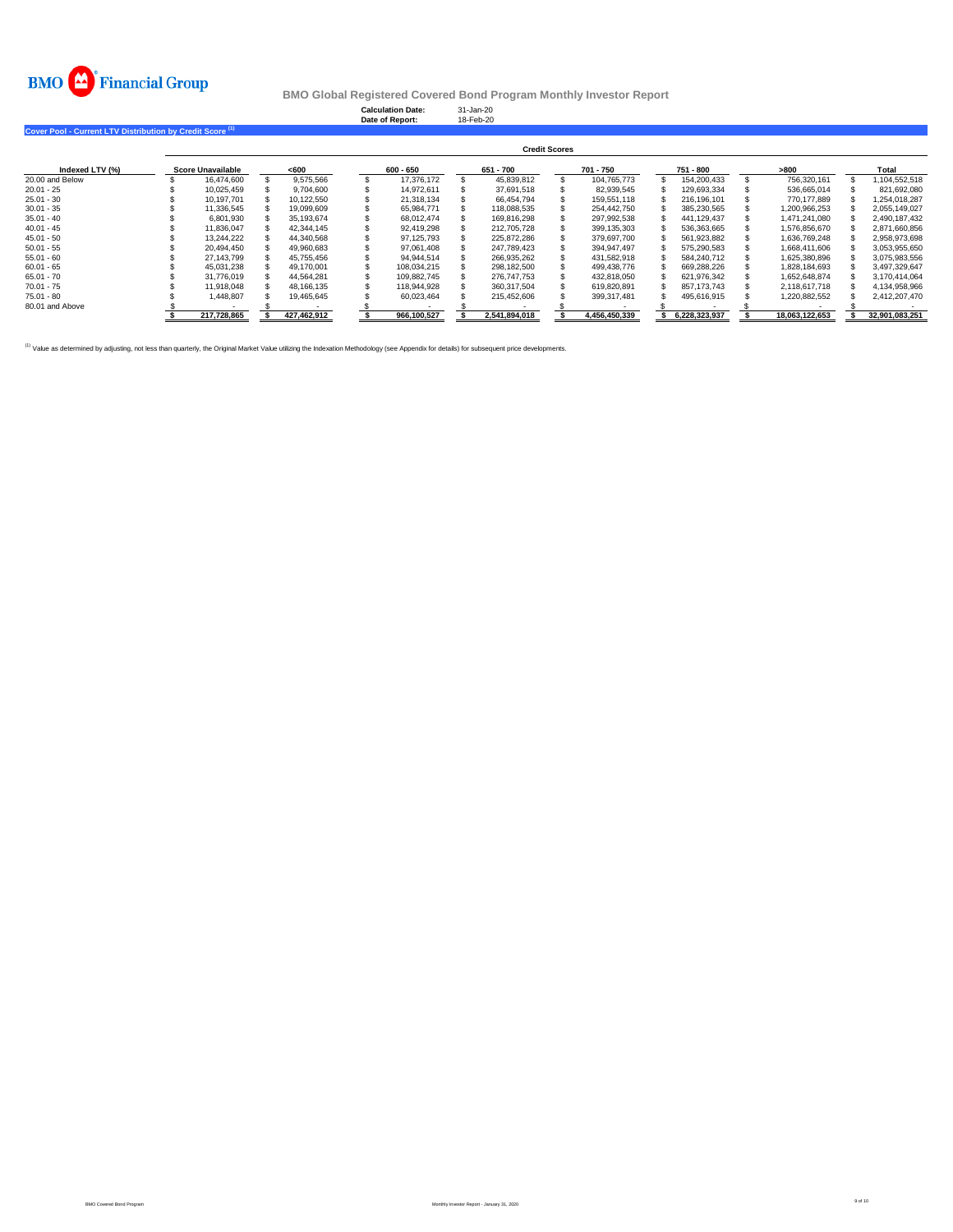

**Calculation Date:** 31-Jan-20 **Date of Report:** 18-Feb-20

**Cover Pool - Current LTV Distribution by Credit Score (1)** 

|                 | <b>Credit Scores</b> |  |             |  |             |  |               |  |               |  |               |  |                |  |                |
|-----------------|----------------------|--|-------------|--|-------------|--|---------------|--|---------------|--|---------------|--|----------------|--|----------------|
| Indexed LTV (%) | Score Unavailable    |  | < 600       |  | 600 - 650   |  | 651 - 700     |  | 701 - 750     |  | 751 - 800     |  | >800           |  | Total          |
| 20.00 and Below | 16.474.600           |  | 9.575.566   |  | 17.376.172  |  | 45.839.812    |  | 104.765.773   |  | 154.200.433   |  | 756.320.161    |  | .104.552.518   |
| $20.01 - 25$    | 10.025.459           |  | 9.704.600   |  | 14.972.611  |  | 37.691.518    |  | 82.939.545    |  | 129.693.334   |  | 536.665.014    |  | 821.692.080    |
| $25.01 - 30$    | 10.197.701           |  | 10.122.550  |  | 21.318.134  |  | 66.454.794    |  | 159.551.118   |  | 216.196.101   |  | 770.177.889    |  | 1.254.018.287  |
| $30.01 - 35$    | 11.336.545           |  | 19.099.609  |  | 65.984.771  |  | 118,088,535   |  | 254.442.750   |  | 385,230,565   |  | 1,200,966,253  |  | 2,055,149,027  |
| $35.01 - 40$    | 6.801.930            |  | 35.193.674  |  | 68.012.474  |  | 169.816.298   |  | 297.992.538   |  | 441,129,437   |  | 1.471.241.080  |  | 2.490.187.432  |
| $40.01 - 45$    | 11.836.047           |  | 42.344.145  |  | 92.419.298  |  | 212.705.728   |  | 399,135,303   |  | 536,363,665   |  | 1,576,856,670  |  | 2,871,660,856  |
| $45.01 - 50$    | 13.244.222           |  | 44.340.568  |  | 97.125.793  |  | 225.872.286   |  | 379.697.700   |  | 561,923,882   |  | 1.636.769.248  |  | 2.958.973.698  |
| $50.01 - 55$    | 20.494.450           |  | 49.960.683  |  | 97.061.408  |  | 247.789.423   |  | 394.947.497   |  | 575.290.583   |  | 1.668.411.606  |  | 3.053.955.650  |
| $55.01 - 60$    | 27.143.799           |  | 45.755.456  |  | 94.944.514  |  | 266.935.262   |  | 431.582.918   |  | 584.240.712   |  | 1.625.380.896  |  | 3,075,983,556  |
| $60.01 - 65$    | 45.031.238           |  | 49.170.001  |  | 108.034.215 |  | 298.182.500   |  | 499.438.776   |  | 669.288.226   |  | 1.828.184.693  |  | 3.497.329.647  |
| $65.01 - 70$    | 31.776.019           |  | 44.564.281  |  | 109.882.745 |  | 276.747.753   |  | 432.818.050   |  | 621.976.342   |  | 1.652.648.874  |  | 3.170.414.064  |
| $70.01 - 75$    | 11.918.048           |  | 48.166.135  |  | 118.944.928 |  | 360.317.504   |  | 619.820.891   |  | 857.173.743   |  | 2.118.617.718  |  | 4,134,958,966  |
| $75.01 - 80$    | 1.448.807            |  | 19.465.645  |  | 60.023.464  |  | 215.452.606   |  | 399.317.481   |  | 495.616.915   |  | 1,220,882,552  |  | 2,412,207,470  |
| 80.01 and Above |                      |  |             |  |             |  |               |  |               |  |               |  |                |  |                |
|                 | 217.728.865          |  | 427.462.912 |  | 966.100.527 |  | 2.541.894.018 |  | 4.456.450.339 |  | 6.228.323.937 |  | 18.063.122.653 |  | 32.901.083.251 |

<sup>(1)</sup> Value as determined by adjusting, not less than quarterly, the Original Market Value utilizing the Indexation Methodology (see Appendix for details) for subsequent price developments